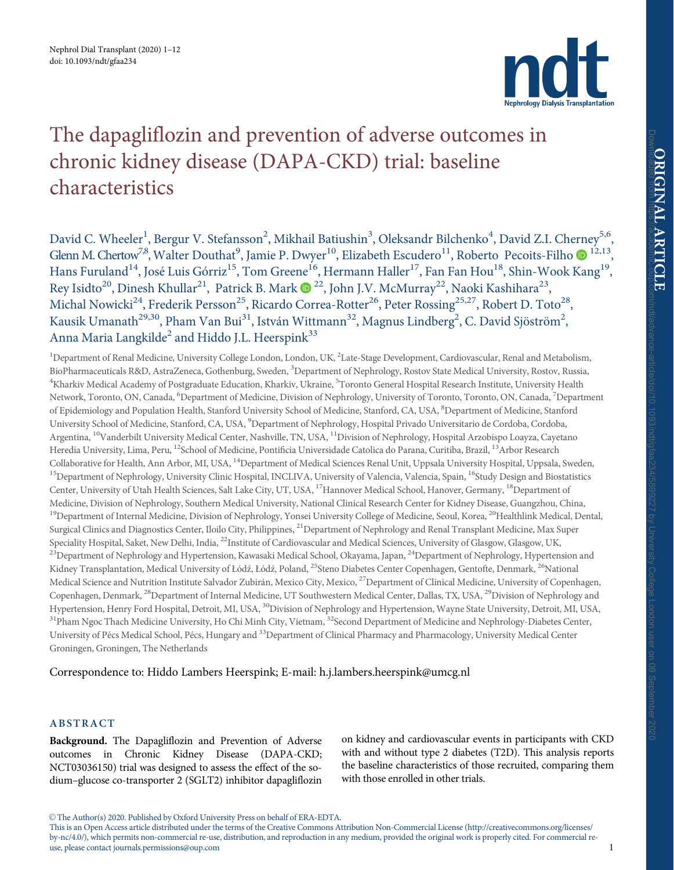

# The dapagliflozin and prevention of adverse outcomes in chronic kidney disease (DAPA-CKD) trial: baseline characteristics

David C. Wheeler<sup>1</sup>, Bergur V. Stefansson<sup>2</sup>, Mikhail Batiushin<sup>3</sup>, Oleksandr Bilchenko<sup>4</sup>, David Z.I. Cherney<sup>5,6</sup>, Glenn M. Chertow<sup>7,8</sup>, Walter Douthat<sup>9</sup>, Jamie P. Dwyer<sup>10</sup>, Elizabeth Escudero<sup>11</sup>, Roberto Pecoits-Filho <sup>12,13</sup>, Hans Furuland<sup>14</sup>, José Luis Górriz<sup>15</sup>, Tom Greene<sup>16</sup>, Hermann Haller<sup>17</sup>, Fan Fan Hou<sup>18</sup>, Shin-Wook Kang<sup>19</sup>, Rey Isidto<sup>20</sup>, Dinesh Khullar<sup>21</sup>, Patrick B. Mark  $\bullet$ <sup>22</sup>, John J.V. McMurray<sup>22</sup>, Naoki Kashihara<sup>23</sup>, Michal Nowicki<sup>24</sup>, Frederik Persson<sup>25</sup>, Ricardo Correa-Rotter<sup>26</sup>, Peter Rossing<sup>25,27</sup>, Robert D. Toto<sup>28</sup>, Kausik Umanath $^{29,30}$ , Pham Van Bui $^{31}$ , István Wittmann $^{32}$ , Magnus Lindberg $^{2}$ , C. David Sjöström $^{2}$ , Anna Maria Langkilde<sup>2</sup> and Hiddo J.L. Heerspink<sup>33</sup>

<sup>1</sup>Department of Renal Medicine, University College London, London, UK, <sup>2</sup>Late-Stage Development, Cardiovascular, Renal and Metabolism, BioPharmaceuticals R&D, AstraZeneca, Gothenburg, Sweden, <sup>3</sup>Department of Nephrology, Rostov State Medical University, Rostov, Russia, <sup>4</sup>Kharkiv Medical Academy of Postgraduate Education, Kharkiv, Ukraine, <sup>5</sup>Toronto General Hospital Research Institute, University Health Network, Toronto, ON, Canada, <sup>6</sup>Department of Medicine, Division of Nephrology, University of Toronto, Toronto, ON, Canada, <sup>7</sup>Department of Epidemiology and Population Health, Stanford University School of Medicine, Stanford, CA, USA, <sup>8</sup>Department of Medicine, Stanford University School of Medicine, Stanford, CA, USA, <sup>9</sup>Department of Nephrology, Hospital Privado Universitario de Cordoba, Cordoba, Argentina, 10Vanderbilt University Medical Center, Nashville, TN, USA, 11Division of Nephrology, Hospital Arzobispo Loayza, Cayetano Heredia University, Lima, Peru, <sup>12</sup>School of Medicine, Pontificia Universidade Catolica do Parana, Curitiba, Brazil, <sup>13</sup>Arbor Research Collaborative for Health, Ann Arbor, MI, USA, 14Department of Medical Sciences Renal Unit, Uppsala University Hospital, Uppsala, Sweden, <sup>15</sup>Department of Nephrology, University Clinic Hospital, INCLIVA, University of Valencia, Valencia, Spain, <sup>16</sup>Study Design and Biostatistics Center, University of Utah Health Sciences, Salt Lake City, UT, USA, <sup>17</sup>Hannover Medical School, Hanover, Germany, <sup>18</sup>Department of Medicine, Division of Nephrology, Southern Medical University, National Clinical Research Center for Kidney Disease, Guangzhou, China, <sup>19</sup>Department of Internal Medicine, Division of Nephrology, Yonsei University College of Medicine, Seoul, Korea, <sup>20</sup>Healthlink Medical, Dental, Surgical Clinics and Diagnostics Center, Iloilo City, Philippines, 21Department of Nephrology and Renal Transplant Medicine, Max Super Speciality Hospital, Saket, New Delhi, India, 22Institute of Cardiovascular and Medical Sciences, University of Glasgow, Glasgow, UK, <sup>23</sup>Department of Nephrology and Hypertension, Kawasaki Medical School, Okayama, Japan, <sup>24</sup>Department of Nephrology, Hypertension and Kidney Transplantation, Medical University of Łódź, Łódź, Poland, <sup>25</sup>Steno Diabetes Center Copenhagen, Gentofte, Denmark, <sup>26</sup>National Medical Science and Nutrition Institute Salvador Zubirán, Mexico City, Mexico, <sup>27</sup>Department of Clinical Medicine, University of Copenhagen, Copenhagen, Denmark, 28Department of Internal Medicine, UT Southwestern Medical Center, Dallas, TX, USA, 29Division of Nephrology and Hypertension, Henry Ford Hospital, Detroit, MI, USA, 30Division of Nephrology and Hypertension, Wayne State University, Detroit, MI, USA, <sup>31</sup>Pham Ngoc Thach Medicine University, Ho Chi Minh City, Vietnam, <sup>32</sup>Second Department of Medicine and Nephrology-Diabetes Center, University of Pécs Medical School, Pécs, Hungary and <sup>33</sup>Department of Clinical Pharmacy and Pharmacology, University Medical Center Groningen, Groningen, The Netherlands

# Correspondence to: Hiddo Lambers Heerspink; E-mail: h.j.lambers.heerspink@umcg.nl

# ABSTRACT

Background. The Dapagliflozin and Prevention of Adverse outcomes in Chronic Kidney Disease (DAPA-CKD; NCT03036150) trial was designed to assess the effect of the sodium–glucose co-transporter 2 (SGLT2) inhibitor dapagliflozin on kidney and cardiovascular events in participants with CKD with and without type 2 diabetes (T2D). This analysis reports the baseline characteristics of those recruited, comparing them with those enrolled in other trials.

This is an Open Access article distributed under the terms of the Creative Commons Attribution Non-Commercial License (http://creativecommons.org/licenses/ by-nc/4.0/), which permits non-commercial re-use, distribution, and reproduction in any medium, provided the original work is properly cited. For commercial reuse, please contact journals.permissions@oup.com 1

V<sup>C</sup> The Author(s) 2020. Published by Oxford University Press on behalf of ERA-EDTA.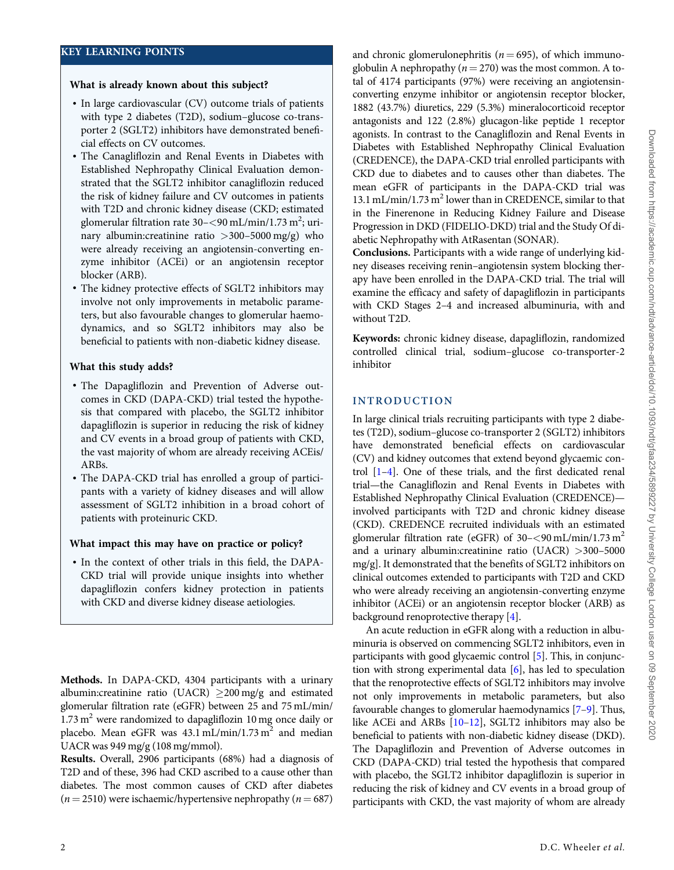# <span id="page-1-0"></span>KEY LEARNING POINTS

#### What is already known about this subject?

- In large cardiovascular (CV) outcome trials of patients with type 2 diabetes (T2D), sodium–glucose co-transporter 2 (SGLT2) inhibitors have demonstrated beneficial effects on CV outcomes.
- The Canagliflozin and Renal Events in Diabetes with Established Nephropathy Clinical Evaluation demonstrated that the SGLT2 inhibitor canagliflozin reduced the risk of kidney failure and CV outcomes in patients with T2D and chronic kidney disease (CKD; estimated glomerular filtration rate  $30-<$ 90 mL/min/1.73 m<sup>2</sup>; urinary albumin: creatinine ratio  $>$ 300–5000 mg/g) who were already receiving an angiotensin-converting enzyme inhibitor (ACEi) or an angiotensin receptor blocker (ARB).
- The kidney protective effects of SGLT2 inhibitors may involve not only improvements in metabolic parameters, but also favourable changes to glomerular haemodynamics, and so SGLT2 inhibitors may also be beneficial to patients with non-diabetic kidney disease.

#### What this study adds?

- The Dapagliflozin and Prevention of Adverse outcomes in CKD (DAPA-CKD) trial tested the hypothesis that compared with placebo, the SGLT2 inhibitor dapagliflozin is superior in reducing the risk of kidney and CV events in a broad group of patients with CKD, the vast majority of whom are already receiving ACEis/ ARBs.
- The DAPA-CKD trial has enrolled a group of participants with a variety of kidney diseases and will allow assessment of SGLT2 inhibition in a broad cohort of patients with proteinuric CKD.

#### What impact this may have on practice or policy?

• In the context of other trials in this field, the DAPA-CKD trial will provide unique insights into whether dapagliflozin confers kidney protection in patients with CKD and diverse kidney disease aetiologies.

Methods. In DAPA-CKD, 4304 participants with a urinary albumin: creatinine ratio (UACR)  $\geq$  200 mg/g and estimated glomerular filtration rate (eGFR) between 25 and 75 mL/min/  $1.73 \text{ m}^2$  were randomized to dapagliflozin 10 mg once daily or placebo. Mean eGFR was  $43.1 \text{ mL/min}/1.73 \text{ m}^2$  and median UACR was 949 mg/g (108 mg/mmol).

Results. Overall, 2906 participants (68%) had a diagnosis of T2D and of these, 396 had CKD ascribed to a cause other than diabetes. The most common causes of CKD after diabetes  $(n = 2510)$  were ischaemic/hypertensive nephropathy  $(n = 687)$ 

and chronic glomerulonephritis ( $n = 695$ ), of which immunoglobulin A nephropathy ( $n = 270$ ) was the most common. A total of 4174 participants (97%) were receiving an angiotensinconverting enzyme inhibitor or angiotensin receptor blocker, 1882 (43.7%) diuretics, 229 (5.3%) mineralocorticoid receptor antagonists and 122 (2.8%) glucagon-like peptide 1 receptor agonists. In contrast to the Canagliflozin and Renal Events in Diabetes with Established Nephropathy Clinical Evaluation (CREDENCE), the DAPA-CKD trial enrolled participants with CKD due to diabetes and to causes other than diabetes. The mean eGFR of participants in the DAPA-CKD trial was 13.1 mL/min/1.73 m<sup>2</sup> lower than in CREDENCE, similar to that in the Finerenone in Reducing Kidney Failure and Disease Progression in DKD (FIDELIO-DKD) trial and the Study Of diabetic Nephropathy with AtRasentan (SONAR).

Conclusions. Participants with a wide range of underlying kidney diseases receiving renin–angiotensin system blocking therapy have been enrolled in the DAPA-CKD trial. The trial will examine the efficacy and safety of dapagliflozin in participants with CKD Stages 2–4 and increased albuminuria, with and without T2D.

Keywords: chronic kidney disease, dapagliflozin, randomized controlled clinical trial, sodium–glucose co-transporter-2 inhibitor

# INTRODUCTION

In large clinical trials recruiting participants with type 2 diabetes (T2D), sodium–glucose co-transporter 2 (SGLT2) inhibitors have demonstrated beneficial effects on cardiovascular (CV) and kidney outcomes that extend beyond glycaemic control  $[1-4]$ . One of these trials, and the first dedicated renal trial—the Canagliflozin and Renal Events in Diabetes with Established Nephropathy Clinical Evaluation (CREDENCE) involved participants with T2D and chronic kidney disease (CKD). CREDENCE recruited individuals with an estimated glomerular filtration rate (eGFR) of  $30 - \leq 90 \text{ mL/min} / 1.73 \text{ m}^2$ and a urinary albumin:creatinine ratio (UACR) >300–5000 mg/g]. It demonstrated that the benefits of SGLT2 inhibitors on clinical outcomes extended to participants with T2D and CKD who were already receiving an angiotensin-converting enzyme inhibitor (ACEi) or an angiotensin receptor blocker (ARB) as background renoprotective therapy [\[4](#page-11-0)].

An acute reduction in eGFR along with a reduction in albuminuria is observed on commencing SGLT2 inhibitors, even in participants with good glycaemic control [\[5](#page-11-0)]. This, in conjunction with strong experimental data [[6\]](#page-11-0), has led to speculation that the renoprotective effects of SGLT2 inhibitors may involve not only improvements in metabolic parameters, but also favourable changes to glomerular haemodynamics [\[7–9\]](#page-11-0). Thus, like ACEi and ARBs [[10–12\]](#page-11-0), SGLT2 inhibitors may also be beneficial to patients with non-diabetic kidney disease (DKD). The Dapagliflozin and Prevention of Adverse outcomes in CKD (DAPA-CKD) trial tested the hypothesis that compared with placebo, the SGLT2 inhibitor dapagliflozin is superior in reducing the risk of kidney and CV events in a broad group of participants with CKD, the vast majority of whom are already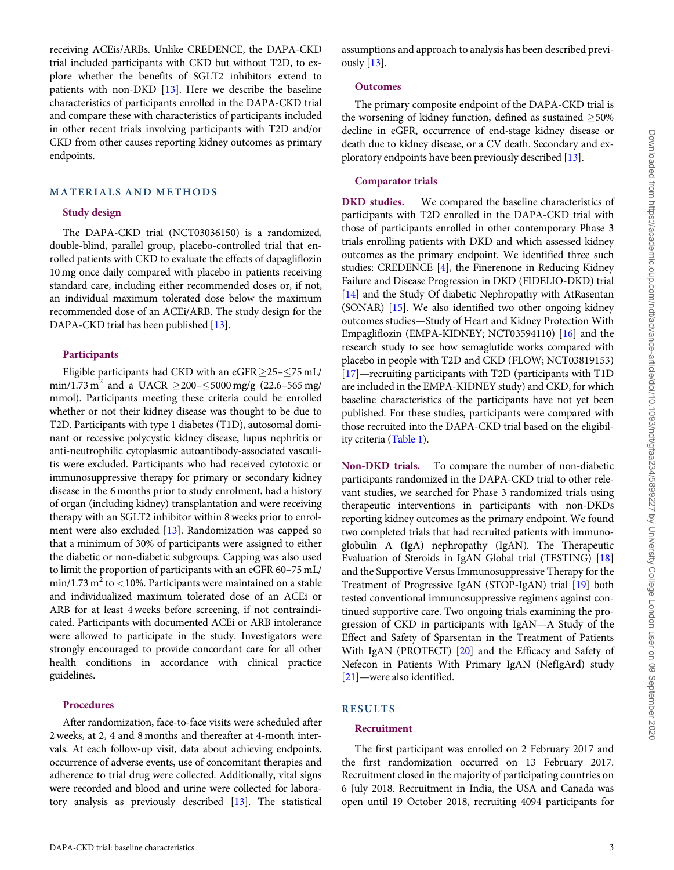<span id="page-2-0"></span>receiving ACEis/ARBs. Unlike CREDENCE, the DAPA-CKD trial included participants with CKD but without T2D, to explore whether the benefits of SGLT2 inhibitors extend to patients with non-DKD [[13](#page-11-0)]. Here we describe the baseline characteristics of participants enrolled in the DAPA-CKD trial and compare these with characteristics of participants included in other recent trials involving participants with T2D and/or CKD from other causes reporting kidney outcomes as primary endpoints.

## MATERIALS AND METHODS

#### Study design

The DAPA-CKD trial (NCT03036150) is a randomized, double-blind, parallel group, placebo-controlled trial that enrolled patients with CKD to evaluate the effects of dapagliflozin 10 mg once daily compared with placebo in patients receiving standard care, including either recommended doses or, if not, an individual maximum tolerated dose below the maximum recommended dose of an ACEi/ARB. The study design for the DAPA-CKD trial has been published [[13\]](#page-11-0).

#### **Participants**

Eligible participants had CKD with an eGFR  $\geq$ 25– $\leq$ 75 mL/ min/1.73 m<sup>2</sup> and a UACR  $\geq$ 200– $\leq$ 5000 mg/g (22.6–565 mg/ mmol). Participants meeting these criteria could be enrolled whether or not their kidney disease was thought to be due to T2D. Participants with type 1 diabetes (T1D), autosomal dominant or recessive polycystic kidney disease, lupus nephritis or anti-neutrophilic cytoplasmic autoantibody-associated vasculitis were excluded. Participants who had received cytotoxic or immunosuppressive therapy for primary or secondary kidney disease in the 6 months prior to study enrolment, had a history of organ (including kidney) transplantation and were receiving therapy with an SGLT2 inhibitor within 8 weeks prior to enrolment were also excluded [[13](#page-11-0)]. Randomization was capped so that a minimum of 30% of participants were assigned to either the diabetic or non-diabetic subgroups. Capping was also used to limit the proportion of participants with an eGFR 60–75 mL/  $min/1.73$  m<sup>2</sup> to <10%. Participants were maintained on a stable and individualized maximum tolerated dose of an ACEi or ARB for at least 4 weeks before screening, if not contraindicated. Participants with documented ACEi or ARB intolerance were allowed to participate in the study. Investigators were strongly encouraged to provide concordant care for all other health conditions in accordance with clinical practice guidelines.

#### Procedures

After randomization, face-to-face visits were scheduled after 2 weeks, at 2, 4 and 8 months and thereafter at 4-month intervals. At each follow-up visit, data about achieving endpoints, occurrence of adverse events, use of concomitant therapies and adherence to trial drug were collected. Additionally, vital signs were recorded and blood and urine were collected for laboratory analysis as previously described [\[13](#page-11-0)]. The statistical assumptions and approach to analysis has been described previously  $[13]$ .

#### **Outcomes**

The primary composite endpoint of the DAPA-CKD trial is the worsening of kidney function, defined as sustained  $\geq$ 50% decline in eGFR, occurrence of end-stage kidney disease or death due to kidney disease, or a CV death. Secondary and exploratory endpoints have been previously described [[13](#page-11-0)].

#### Comparator trials

DKD studies. We compared the baseline characteristics of participants with T2D enrolled in the DAPA-CKD trial with those of participants enrolled in other contemporary Phase 3 trials enrolling patients with DKD and which assessed kidney outcomes as the primary endpoint. We identified three such studies: CREDENCE [\[4\]](#page-11-0), the Finerenone in Reducing Kidney Failure and Disease Progression in DKD (FIDELIO-DKD) trial [[14](#page-11-0)] and the Study Of diabetic Nephropathy with AtRasentan (SONAR) [\[15\]](#page-11-0). We also identified two other ongoing kidney outcomes studies—Study of Heart and Kidney Protection With Empagliflozin (EMPA-KIDNEY; NCT03594110) [\[16\]](#page-11-0) and the research study to see how semaglutide works compared with placebo in people with T2D and CKD (FLOW; NCT03819153) [[17](#page-11-0)]—recruiting participants with T2D (participants with T1D are included in the EMPA-KIDNEY study) and CKD, for which baseline characteristics of the participants have not yet been published. For these studies, participants were compared with those recruited into the DAPA-CKD trial based on the eligibility criteria ([Table 1](#page-3-0)).

Non-DKD trials. To compare the number of non-diabetic participants randomized in the DAPA-CKD trial to other relevant studies, we searched for Phase 3 randomized trials using therapeutic interventions in participants with non-DKDs reporting kidney outcomes as the primary endpoint. We found two completed trials that had recruited patients with immunoglobulin A (IgA) nephropathy (IgAN). The Therapeutic Evaluation of Steroids in IgAN Global trial (TESTING) [\[18\]](#page-11-0) and the Supportive Versus Immunosuppressive Therapy for the Treatment of Progressive IgAN (STOP-IgAN) trial [\[19\]](#page-11-0) both tested conventional immunosuppressive regimens against continued supportive care. Two ongoing trials examining the progression of CKD in participants with IgAN—A Study of the Effect and Safety of Sparsentan in the Treatment of Patients With IgAN (PROTECT) [[20](#page-11-0)] and the Efficacy and Safety of Nefecon in Patients With Primary IgAN (NefIgArd) study [[21](#page-11-0)]—were also identified.

#### RESULTS

#### Recruitment

The first participant was enrolled on 2 February 2017 and the first randomization occurred on 13 February 2017. Recruitment closed in the majority of participating countries on 6 July 2018. Recruitment in India, the USA and Canada was open until 19 October 2018, recruiting 4094 participants for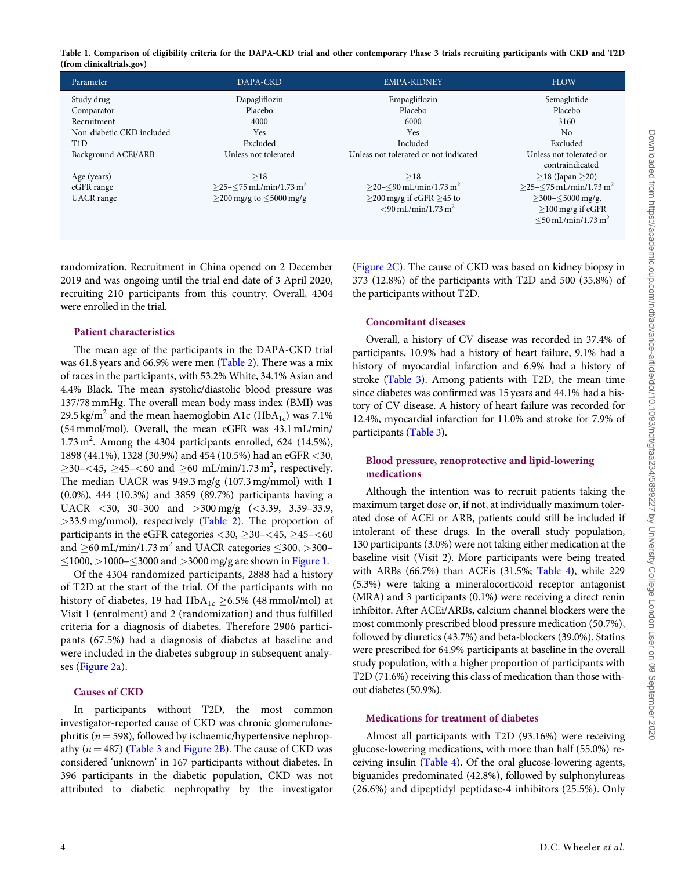<span id="page-3-0"></span>

| Table 1. Comparison of eligibility criteria for the DAPA-CKD trial and other contemporary Phase 3 trials recruiting participants with CKD and T2D |  |  |  |
|---------------------------------------------------------------------------------------------------------------------------------------------------|--|--|--|
| (from clinicaltrials.gov)                                                                                                                         |  |  |  |

| Parameter                 | DAPA-CKD                                  | <b>EMPA-KIDNEY</b>                                                        | <b>FLOW</b>                                                                             |
|---------------------------|-------------------------------------------|---------------------------------------------------------------------------|-----------------------------------------------------------------------------------------|
| Study drug                | Dapagliflozin                             | Empagliflozin                                                             | Semaglutide                                                                             |
| Comparator                | Placebo                                   | Placebo                                                                   | Placebo                                                                                 |
| Recruitment               | 4000                                      | 6000                                                                      | 3160                                                                                    |
| Non-diabetic CKD included | Yes                                       | Yes                                                                       | No.                                                                                     |
| T <sub>1</sub> D          | Excluded                                  | Included                                                                  | Excluded                                                                                |
| Background ACEi/ARB       | Unless not tolerated                      | Unless not tolerated or not indicated                                     | Unless not tolerated or<br>contraindicated                                              |
| Age (years)               | >18                                       | >18                                                                       | $>18$ (Japan $>20$ )                                                                    |
| eGFR range                | $>$ 25– $<$ 75 mL/min/1.73 m <sup>2</sup> | $>$ 20– $<$ 90 mL/min/1.73 m <sup>2</sup>                                 | $>$ 25- $\leq$ 75 mL/min/1.73 m <sup>2</sup>                                            |
| UACR range                | $>$ 200 mg/g to $<$ 5000 mg/g             | $\geq$ 200 mg/g if eGFR $\geq$ 45 to<br>$<$ 90 mL/min/1.73 m <sup>2</sup> | $>$ 300– $<$ 5000 mg/g,<br>$>$ 100 mg/g if eGFR<br>$\leq$ 50 mL/min/1.73 m <sup>2</sup> |

randomization. Recruitment in China opened on 2 December 2019 and was ongoing until the trial end date of 3 April 2020, recruiting 210 participants from this country. Overall, 4304 were enrolled in the trial.

#### Patient characteristics

The mean age of the participants in the DAPA-CKD trial was 61.8 years and 66.9% were men ([Table 2\)](#page-4-0). There was a mix of races in the participants, with 53.2% White, 34.1% Asian and 4.4% Black. The mean systolic/diastolic blood pressure was 137/78 mmHg. The overall mean body mass index (BMI) was 29.5 kg/m<sup>2</sup> and the mean haemoglobin A1c (HbA<sub>1c</sub>) was 7.1% (54 mmol/mol). Overall, the mean eGFR was 43.1 mL/min/  $1.73 \text{ m}^2$ . Among the 4304 participants enrolled, 624 (14.5%), 1898 (44.1%), 1328 (30.9%) and 454 (10.5%) had an eGFR <30,  $\geq$ 30-<45,  $\geq$ 45-<60 and  $\geq$ 60 mL/min/1.73 m<sup>2</sup>, respectively. The median UACR was 949.3 mg/g (107.3 mg/mmol) with 1 (0.0%), 444 (10.3%) and 3859 (89.7%) participants having a UACR <30, 30–300 and >300 mg/g (<3.39, 3.39–33.9, >33.9 mg/mmol), respectively [\(Table 2\)](#page-4-0). The proportion of participants in the eGFR categories  $<$  30,  $\geq$  30– $<$  45,  $\geq$  45– $<$  60 and  $\geq$ 60 mL/min/1.73 m<sup>2</sup> and UACR categories  $\leq$ 300,  $>$ 300–  $1000, >1000$ – $\leq$ 3000 and  $>$ 3000 mg/g are shown in [Figure 1](#page-4-0).

Of the 4304 randomized participants, 2888 had a history of T2D at the start of the trial. Of the participants with no history of diabetes, 19 had  $HbA_{1c} \geq 6.5\%$  (48 mmol/mol) at Visit 1 (enrolment) and 2 (randomization) and thus fulfilled criteria for a diagnosis of diabetes. Therefore 2906 participants (67.5%) had a diagnosis of diabetes at baseline and were included in the diabetes subgroup in subsequent analyses ([Figure 2a](#page-5-0)).

#### Causes of CKD

In participants without T2D, the most common investigator-reported cause of CKD was chronic glomerulonephritis ( $n = 598$ ), followed by ischaemic/hypertensive nephropathy ( $n = 487$ ) ([Table 3](#page-6-0) and [Figure 2B\)](#page-5-0). The cause of CKD was considered 'unknown' in 167 participants without diabetes. In 396 participants in the diabetic population, CKD was not attributed to diabetic nephropathy by the investigator ([Figure 2C\)](#page-5-0). The cause of CKD was based on kidney biopsy in 373 (12.8%) of the participants with T2D and 500 (35.8%) of the participants without T2D.

#### Concomitant diseases

Overall, a history of CV disease was recorded in 37.4% of participants, 10.9% had a history of heart failure, 9.1% had a history of myocardial infarction and 6.9% had a history of stroke [\(Table 3\)](#page-6-0). Among patients with T2D, the mean time since diabetes was confirmed was 15 years and 44.1% had a history of CV disease. A history of heart failure was recorded for 12.4%, myocardial infarction for 11.0% and stroke for 7.9% of participants [\(Table 3\)](#page-6-0).

## Blood pressure, renoprotective and lipid-lowering medications

Although the intention was to recruit patients taking the maximum target dose or, if not, at individually maximum tolerated dose of ACEi or ARB, patients could still be included if intolerant of these drugs. In the overall study population, 130 participants (3.0%) were not taking either medication at the baseline visit (Visit 2). More participants were being treated with ARBs (66.7%) than ACEis (31.5%; [Table 4\)](#page-7-0), while 229 (5.3%) were taking a mineralocorticoid receptor antagonist (MRA) and 3 participants (0.1%) were receiving a direct renin inhibitor. After ACEi/ARBs, calcium channel blockers were the most commonly prescribed blood pressure medication (50.7%), followed by diuretics (43.7%) and beta-blockers (39.0%). Statins were prescribed for 64.9% participants at baseline in the overall study population, with a higher proportion of participants with T2D (71.6%) receiving this class of medication than those without diabetes (50.9%).

### Medications for treatment of diabetes

Almost all participants with T2D (93.16%) were receiving glucose-lowering medications, with more than half (55.0%) receiving insulin [\(Table 4\)](#page-7-0). Of the oral glucose-lowering agents, biguanides predominated (42.8%), followed by sulphonylureas (26.6%) and dipeptidyl peptidase-4 inhibitors (25.5%). Only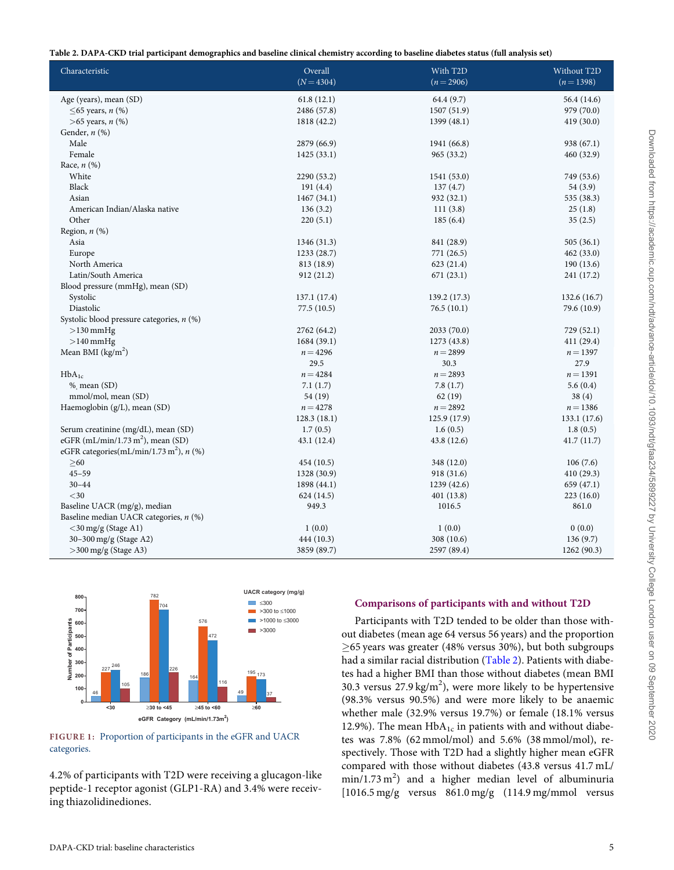<span id="page-4-0"></span>

| Table 2. DAPA-CKD trial participant demographics and baseline clinical chemistry according to baseline diabetes status (full analysis set) |  |  |  |  |  |  |
|--------------------------------------------------------------------------------------------------------------------------------------------|--|--|--|--|--|--|
|--------------------------------------------------------------------------------------------------------------------------------------------|--|--|--|--|--|--|

| Characteristic                                        | Overall      | With T2D     | Without T2D  |
|-------------------------------------------------------|--------------|--------------|--------------|
|                                                       | $(N = 4304)$ | $(n=2906)$   | $(n=1398)$   |
| Age (years), mean (SD)                                | 61.8(12.1)   | 64.4 (9.7)   | 56.4 (14.6)  |
| $\leq$ 65 years, n (%)                                | 2486 (57.8)  | 1507 (51.9)  | 979 (70.0)   |
| >65 years, $n$ (%)                                    | 1818 (42.2)  | 1399(48.1)   | 419(30.0)    |
| Gender, $n$ $(\%)$                                    |              |              |              |
| Male                                                  | 2879 (66.9)  | 1941 (66.8)  | 938 (67.1)   |
| Female                                                | 1425(33.1)   | 965 (33.2)   | 460 (32.9)   |
| Race, $n$ (%)                                         |              |              |              |
| White                                                 | 2290 (53.2)  | 1541 (53.0)  | 749 (53.6)   |
| Black                                                 | 191(4.4)     | 137(4.7)     | 54 (3.9)     |
| Asian                                                 | 1467 (34.1)  | 932 (32.1)   | 535 (38.3)   |
| American Indian/Alaska native                         | 136(3.2)     | 111(3.8)     | 25(1.8)      |
| Other                                                 | 220(5.1)     | 185(6.4)     | 35(2.5)      |
| Region, $n$ (%)                                       |              |              |              |
| Asia                                                  | 1346 (31.3)  | 841 (28.9)   | 505 (36.1)   |
| Europe                                                | 1233 (28.7)  | 771 (26.5)   | 462(33.0)    |
| North America                                         | 813 (18.9)   | 623(21.4)    | 190(13.6)    |
| Latin/South America                                   | 912 (21.2)   | 671(23.1)    | 241 (17.2)   |
| Blood pressure (mmHg), mean (SD)                      |              |              |              |
| Systolic                                              | 137.1 (17.4) | 139.2 (17.3) | 132.6 (16.7) |
| Diastolic                                             | 77.5 (10.5)  | 76.5(10.1)   | 79.6 (10.9)  |
| Systolic blood pressure categories, $n$ (%)           |              |              |              |
| $>130$ mmHg                                           | 2762 (64.2)  | 2033(70.0)   | 729 (52.1)   |
| $>140$ mmHg                                           | 1684(39.1)   | 1273 (43.8)  | 411 (29.4)   |
| Mean BMI $(kg/m2)$                                    | $n = 4296$   | $n = 2899$   | $n = 1397$   |
|                                                       | 29.5         | 30.3         | 27.9         |
| $HbA_{1c}$                                            | $n = 4284$   | $n = 2893$   | $n = 1391$   |
| % mean (SD)                                           | 7.1(1.7)     | 7.8(1.7)     | 5.6(0.4)     |
| mmol/mol, mean (SD)                                   | 54 (19)      | 62(19)       | 38(4)        |
| Haemoglobin (g/L), mean (SD)                          | $n = 4278$   | $n = 2892$   | $n = 1386$   |
|                                                       | 128.3(18.1)  | 125.9 (17.9) | 133.1 (17.6) |
| Serum creatinine (mg/dL), mean (SD)                   | 1.7(0.5)     | 1.6(0.5)     | 1.8(0.5)     |
| eGFR (mL/min/1.73 m <sup>2</sup> ), mean (SD)         | 43.1 (12.4)  | 43.8 (12.6)  | 41.7(11.7)   |
| eGFR categories(mL/min/1.73 m <sup>2</sup> ), $n$ (%) |              |              |              |
| $\geq 60$                                             | 454 (10.5)   | 348 (12.0)   | 106(7.6)     |
| $45 - 59$                                             | 1328 (30.9)  | 918 (31.6)   | 410 (29.3)   |
| $30 - 44$                                             | 1898 (44.1)  | 1239 (42.6)  | 659 (47.1)   |
| $<$ 30                                                | 624 (14.5)   | 401(13.8)    | 223(16.0)    |
| Baseline UACR (mg/g), median                          | 949.3        | 1016.5       | 861.0        |
| Baseline median UACR categories, $n$ (%)              |              |              |              |
| $<$ 30 mg/g (Stage A1)                                | 1(0.0)       | 1(0.0)       | 0(0.0)       |
| 30-300 mg/g (Stage A2)                                | 444 (10.3)   | 308(10.6)    | 136(9.7)     |
| $>$ 300 mg/g (Stage A3)                               | 3859 (89.7)  | 2597 (89.4)  | 1262 (90.3)  |



FIGURE 1: Proportion of participants in the eGFR and UACR categories.

4.2% of participants with T2D were receiving a glucagon-like peptide-1 receptor agonist (GLP1-RA) and 3.4% were receiving thiazolidinediones.

# Comparisons of participants with and without T2D

Participants with T2D tended to be older than those without diabetes (mean age 64 versus 56 years) and the proportion  $\geq$ 65 years was greater (48% versus 30%), but both subgroups had a similar racial distribution (Table 2). Patients with diabetes had a higher BMI than those without diabetes (mean BMI 30.3 versus  $27.9 \text{ kg/m}^2$ ), were more likely to be hypertensive (98.3% versus 90.5%) and were more likely to be anaemic whether male (32.9% versus 19.7%) or female (18.1% versus 12.9%). The mean  $HbA_{1c}$  in patients with and without diabetes was 7.8% (62 mmol/mol) and 5.6% (38 mmol/mol), respectively. Those with T2D had a slightly higher mean eGFR compared with those without diabetes (43.8 versus 41.7 mL/  $min(1.73 \text{ m}^2)$  and a higher median level of albuminuria [1016.5 mg/g versus 861.0 mg/g (114.9 mg/mmol versus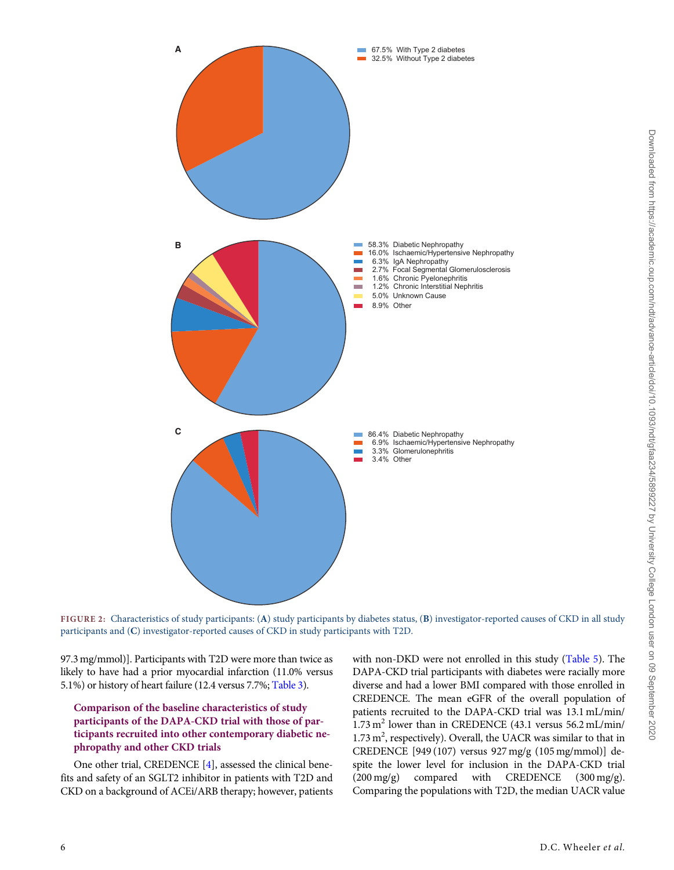<span id="page-5-0"></span>

FIGURE 2: Characteristics of study participants: (A) study participants by diabetes status, (B) investigator-reported causes of CKD in all study participants and (C) investigator-reported causes of CKD in study participants with T2D.

97.3 mg/mmol)]. Participants with T2D were more than twice as likely to have had a prior myocardial infarction (11.0% versus 5.1%) or history of heart failure (12.4 versus 7.7%; [Table 3](#page-6-0)).

# Comparison of the baseline characteristics of study participants of the DAPA-CKD trial with those of participants recruited into other contemporary diabetic nephropathy and other CKD trials

One other trial, CREDENCE [\[4\]](#page-11-0), assessed the clinical benefits and safety of an SGLT2 inhibitor in patients with T2D and CKD on a background of ACEi/ARB therapy; however, patients with non-DKD were not enrolled in this study [\(Table 5\)](#page-8-0). The DAPA-CKD trial participants with diabetes were racially more diverse and had a lower BMI compared with those enrolled in CREDENCE. The mean eGFR of the overall population of patients recruited to the DAPA-CKD trial was 13.1 mL/min/  $1.73 \text{ m}^2$  lower than in CREDENCE (43.1 versus 56.2 mL/min/ 1.73 m<sup>2</sup>, respectively). Overall, the UACR was similar to that in CREDENCE [949 (107) versus 927 mg/g (105 mg/mmol)] despite the lower level for inclusion in the DAPA-CKD trial (200 mg/g) compared with CREDENCE (300 mg/g). Comparing the populations with T2D, the median UACR value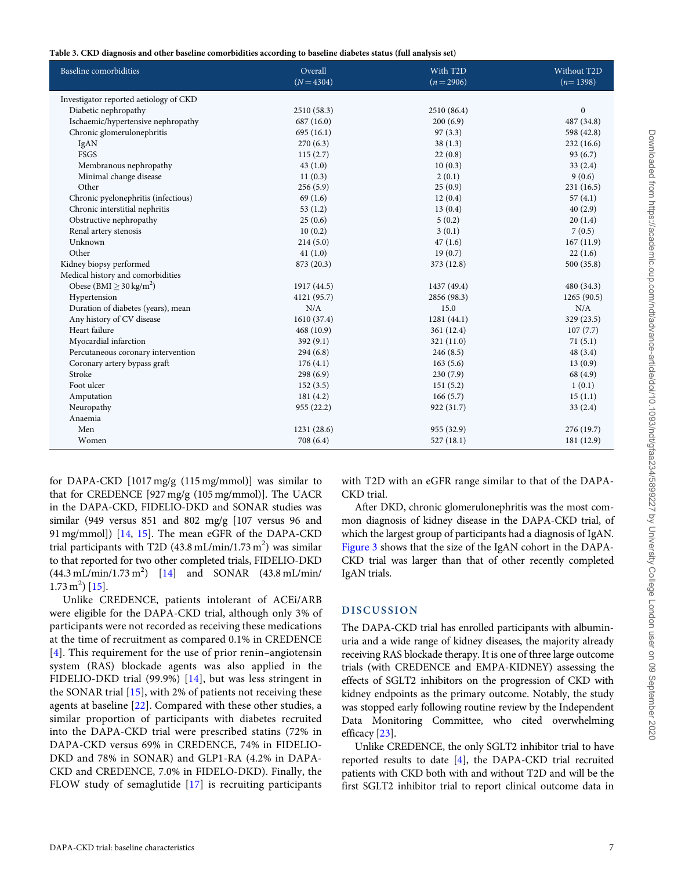<span id="page-6-0"></span>

| Table 3. CKD diagnosis and other baseline comorbidities according to baseline diabetes status (full analysis set) |  |  |
|-------------------------------------------------------------------------------------------------------------------|--|--|
|                                                                                                                   |  |  |

| Baseline comorbidities                 | Overall<br>$(N = 4304)$ | With T2D<br>$(n=2906)$ | Without T2D<br>$(n=1398)$ |
|----------------------------------------|-------------------------|------------------------|---------------------------|
|                                        |                         |                        |                           |
| Investigator reported aetiology of CKD |                         |                        |                           |
| Diabetic nephropathy                   | 2510 (58.3)             | 2510 (86.4)            | $\mathbf{0}$              |
| Ischaemic/hypertensive nephropathy     | 687 (16.0)              | 200(6.9)               | 487 (34.8)                |
| Chronic glomerulonephritis             | 695(16.1)               | 97(3.3)                | 598 (42.8)                |
| IgAN                                   | 270(6.3)                | 38(1.3)                | 232(16.6)                 |
| FSGS                                   | 115(2.7)                | 22(0.8)                | 93(6.7)                   |
| Membranous nephropathy                 | 43(1.0)                 | 10(0.3)                | 33(2.4)                   |
| Minimal change disease                 | 11(0.3)                 | 2(0.1)                 | 9(0.6)                    |
| Other                                  | 256(5.9)                | 25(0.9)                | 231(16.5)                 |
| Chronic pyelonephritis (infectious)    | 69(1.6)                 | 12(0.4)                | 57(4.1)                   |
| Chronic interstitial nephritis         | 53(1.2)                 | 13(0.4)                | 40(2.9)                   |
| Obstructive nephropathy                | 25(0.6)                 | 5(0.2)                 | 20(1.4)                   |
| Renal artery stenosis                  | 10(0.2)                 | 3(0.1)                 | 7(0.5)                    |
| Unknown                                | 214(5.0)                | 47(1.6)                | 167(11.9)                 |
| Other                                  | 41 $(1.0)$              | 19(0.7)                | 22(1.6)                   |
| Kidney biopsy performed                | 873 (20.3)              | 373 (12.8)             | 500 (35.8)                |
| Medical history and comorbidities      |                         |                        |                           |
| Obese (BMI $>$ 30 kg/m <sup>2</sup> )  | 1917 (44.5)             | 1437 (49.4)            | 480 (34.3)                |
| Hypertension                           | 4121 (95.7)             | 2856 (98.3)            | 1265(90.5)                |
| Duration of diabetes (years), mean     | N/A                     | 15.0                   | N/A                       |
| Any history of CV disease              | 1610 (37.4)             | 1281(44.1)             | 329 (23.5)                |
| Heart failure                          | 468 (10.9)              | 361 (12.4)             | 107(7.7)                  |
| Myocardial infarction                  | 392(9.1)                | 321(11.0)              | 71(5.1)                   |
| Percutaneous coronary intervention     | 294(6.8)                | 246(8.5)               | 48(3.4)                   |
| Coronary artery bypass graft           | 176(4.1)                | 163(5.6)               | 13(0.9)                   |
| Stroke                                 | 298 (6.9)               | 230(7.9)               | 68 (4.9)                  |
| Foot ulcer                             | 152(3.5)                | 151(5.2)               | 1(0.1)                    |
| Amputation                             | 181(4.2)                | 166(5.7)               | 15(1.1)                   |
| Neuropathy                             | 955 (22.2)              | 922(31.7)              | 33(2.4)                   |
| Anaemia                                |                         |                        |                           |
| Men                                    | 1231 (28.6)             | 955 (32.9)             | 276(19.7)                 |
| Women                                  | 708 (6.4)               | 527(18.1)              | 181 (12.9)                |

for DAPA-CKD [1017 mg/g (115 mg/mmol)] was similar to that for CREDENCE [927 mg/g (105 mg/mmol)]. The UACR in the DAPA-CKD, FIDELIO-DKD and SONAR studies was similar (949 versus 851 and 802 mg/g [107 versus 96 and 91 mg/mmol]) [\[14,](#page-11-0) [15](#page-11-0)]. The mean eGFR of the DAPA-CKD trial participants with T2D (43.8 mL/min/1.73 m<sup>2</sup>) was similar to that reported for two other completed trials, FIDELIO-DKD  $(44.3 \text{ mL/min}/1.73 \text{ m}^2)$  [[14\]](#page-11-0) and SONAR  $(43.8 \text{ mL/min}/1.73 \text{ m}^2)$  $1.73 \text{ m}^2$ ) [\[15\]](#page-11-0).

Unlike CREDENCE, patients intolerant of ACEi/ARB were eligible for the DAPA-CKD trial, although only 3% of participants were not recorded as receiving these medications at the time of recruitment as compared 0.1% in CREDENCE [[4](#page-11-0)]. This requirement for the use of prior renin–angiotensin system (RAS) blockade agents was also applied in the FIDELIO-DKD trial (99.9%) [\[14\]](#page-11-0), but was less stringent in the SONAR trial [\[15\]](#page-11-0), with 2% of patients not receiving these agents at baseline [[22](#page-11-0)]. Compared with these other studies, a similar proportion of participants with diabetes recruited into the DAPA-CKD trial were prescribed statins (72% in DAPA-CKD versus 69% in CREDENCE, 74% in FIDELIO-DKD and 78% in SONAR) and GLP1-RA (4.2% in DAPA-CKD and CREDENCE, 7.0% in FIDELO-DKD). Finally, the FLOW study of semaglutide [[17\]](#page-11-0) is recruiting participants with T2D with an eGFR range similar to that of the DAPA-CKD trial.

After DKD, chronic glomerulonephritis was the most common diagnosis of kidney disease in the DAPA-CKD trial, of which the largest group of participants had a diagnosis of IgAN. [Figure 3](#page-9-0) shows that the size of the IgAN cohort in the DAPA-CKD trial was larger than that of other recently completed IgAN trials.

# DISCUSSION

The DAPA-CKD trial has enrolled participants with albuminuria and a wide range of kidney diseases, the majority already receiving RAS blockade therapy. It is one of three large outcome trials (with CREDENCE and EMPA-KIDNEY) assessing the effects of SGLT2 inhibitors on the progression of CKD with kidney endpoints as the primary outcome. Notably, the study was stopped early following routine review by the Independent Data Monitoring Committee, who cited overwhelming efficacy [\[23\]](#page-11-0).

Unlike CREDENCE, the only SGLT2 inhibitor trial to have reported results to date [[4](#page-11-0)], the DAPA-CKD trial recruited patients with CKD both with and without T2D and will be the first SGLT2 inhibitor trial to report clinical outcome data in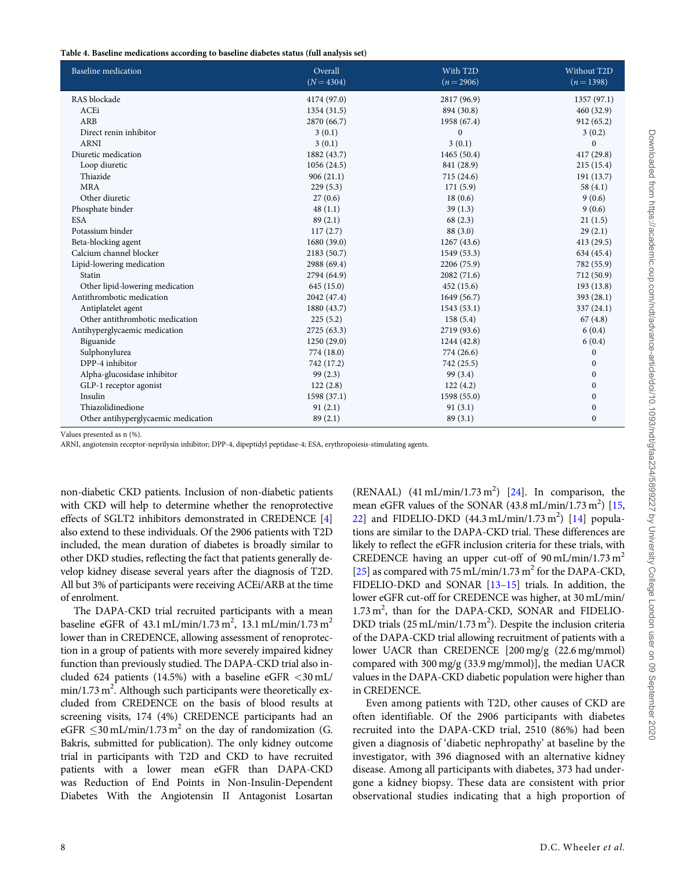#### <span id="page-7-0"></span>Table 4. Baseline medications according to baseline diabetes status (full analysis set)

| <b>Baseline</b> medication          | Overall      | With T2D         | Without T <sub>2D</sub> |
|-------------------------------------|--------------|------------------|-------------------------|
|                                     | $(N = 4304)$ | $(n=2906)$       | $(n=1398)$              |
| RAS blockade                        | 4174 (97.0)  | 2817 (96.9)      | 1357 (97.1)             |
| ACEi                                | 1354 (31.5)  | 894 (30.8)       | 460 (32.9)              |
| ARB                                 | 2870 (66.7)  | 1958 (67.4)      | 912 (65.2)              |
| Direct renin inhibitor              | 3(0.1)       | $\boldsymbol{0}$ | 3(0.2)                  |
| <b>ARNI</b>                         | 3(0.1)       | 3(0.1)           | $\mathbf{0}$            |
| Diuretic medication                 | 1882 (43.7)  | 1465(50.4)       | 417 (29.8)              |
| Loop diuretic                       | 1056(24.5)   | 841 (28.9)       | 215(15.4)               |
| Thiazide                            | 906(21.1)    | 715 (24.6)       | 191(13.7)               |
| <b>MRA</b>                          | 229(5.3)     | 171(5.9)         | 58 $(4.1)$              |
| Other diuretic                      | 27(0.6)      | 18(0.6)          | 9(0.6)                  |
| Phosphate binder                    | 48(1.1)      | 39(1.3)          | 9(0.6)                  |
| <b>ESA</b>                          | 89(2.1)      | 68(2.3)          | 21(1.5)                 |
| Potassium binder                    | 117(2.7)     | 88 (3.0)         | 29(2.1)                 |
| Beta-blocking agent                 | 1680 (39.0)  | 1267(43.6)       | 413 (29.5)              |
| Calcium channel blocker             | 2183 (50.7)  | 1549 (53.3)      | 634 (45.4)              |
| Lipid-lowering medication           | 2988 (69.4)  | 2206 (75.9)      | 782 (55.9)              |
| Statin                              | 2794 (64.9)  | 2082 (71.6)      | 712 (50.9)              |
| Other lipid-lowering medication     | 645(15.0)    | 452 (15.6)       | 193(13.8)               |
| Antithrombotic medication           | 2042 (47.4)  | 1649 (56.7)      | 393 (28.1)              |
| Antiplatelet agent                  | 1880 (43.7)  | 1543(53.1)       | 337 (24.1)              |
| Other antithrombotic medication     | 225(5.2)     | 158(5.4)         | 67(4.8)                 |
| Antihyperglycaemic medication       | 2725 (63.3)  | 2719 (93.6)      | 6(0.4)                  |
| Biguanide                           | 1250(29.0)   | 1244 (42.8)      | 6(0.4)                  |
| Sulphonylurea                       | 774 (18.0)   | 774 (26.6)       | $\mathbf{0}$            |
| DPP-4 inhibitor                     | 742 (17.2)   | 742 (25.5)       | $\mathbf{0}$            |
| Alpha-glucosidase inhibitor         | 99(2.3)      | 99 (3.4)         | $\mathbf{0}$            |
| GLP-1 receptor agonist              | 122(2.8)     | 122(4.2)         | $\mathbf{0}$            |
| Insulin                             | 1598 (37.1)  | 1598 (55.0)      | $\Omega$                |
| Thiazolidinedione                   | 91(2.1)      | 91(3.1)          | $\mathbf{0}$            |
| Other antihyperglycaemic medication | 89(2.1)      | 89(3.1)          | $\boldsymbol{0}$        |

Values presented as n (%).

ARNI, angiotensin receptor-neprilysin inhibitor; DPP-4, dipeptidyl peptidase-4; ESA, erythropoiesis-stimulating agents.

non-diabetic CKD patients. Inclusion of non-diabetic patients with CKD will help to determine whether the renoprotective effects of SGLT2 inhibitors demonstrated in CREDENCE [\[4](#page-11-0)] also extend to these individuals. Of the 2906 patients with T2D included, the mean duration of diabetes is broadly similar to other DKD studies, reflecting the fact that patients generally develop kidney disease several years after the diagnosis of T2D. All but 3% of participants were receiving ACEi/ARB at the time of enrolment.

The DAPA-CKD trial recruited participants with a mean baseline eGFR of  $43.1 \text{ mL/min}/1.73 \text{ m}^2$ ,  $13.1 \text{ mL/min}/1.73 \text{ m}^2$ lower than in CREDENCE, allowing assessment of renoprotection in a group of patients with more severely impaired kidney function than previously studied. The DAPA-CKD trial also included 624 patients (14.5%) with a baseline eGFR <30 mL/  $min/1.73$   $m^2$ . Although such participants were theoretically excluded from CREDENCE on the basis of blood results at screening visits, 174 (4%) CREDENCE participants had an eGFR  $\leq$ 30 mL/min/1.73 m<sup>2</sup> on the day of randomization (G. Bakris, submitted for publication). The only kidney outcome trial in participants with T2D and CKD to have recruited patients with a lower mean eGFR than DAPA-CKD was Reduction of End Points in Non-Insulin-Dependent Diabetes With the Angiotensin II Antagonist Losartan

(RENAAL)  $(41 \text{ mL/min}/1.73 \text{ m}^2)$  [\[24\]](#page-11-0). In comparison, the mean eGFR values of the SONAR  $(43.8 \text{ mL/min}/1.73 \text{ m}^2)$  [\[15,](#page-11-0) [22\]](#page-11-0) and FIDELIO-DKD  $(44.3 \text{ mL/min}/1.73 \text{ m}^2)$  [\[14\]](#page-11-0) populations are similar to the DAPA-CKD trial. These differences are likely to reflect the eGFR inclusion criteria for these trials, with CREDENCE having an upper cut-off of  $90 \text{ mL/min}/1.73 \text{ m}^2$ [[25](#page-11-0)] as compared with 75 mL/min/1.73 m<sup>2</sup> for the DAPA-CKD, FIDELIO-DKD and SONAR [[13–15](#page-11-0)] trials. In addition, the lower eGFR cut-off for CREDENCE was higher, at 30 mL/min/ 1.73 m<sup>2</sup>, than for the DAPA-CKD, SONAR and FIDELIO-DKD trials  $(25 \text{ mL/min}/1.73 \text{ m}^2)$ . Despite the inclusion criteria of the DAPA-CKD trial allowing recruitment of patients with a lower UACR than CREDENCE [200 mg/g (22.6 mg/mmol) compared with 300 mg/g (33.9 mg/mmol)], the median UACR values in the DAPA-CKD diabetic population were higher than in CREDENCE.

Even among patients with T2D, other causes of CKD are often identifiable. Of the 2906 participants with diabetes recruited into the DAPA-CKD trial, 2510 (86%) had been given a diagnosis of 'diabetic nephropathy' at baseline by the investigator, with 396 diagnosed with an alternative kidney disease. Among all participants with diabetes, 373 had undergone a kidney biopsy. These data are consistent with prior observational studies indicating that a high proportion of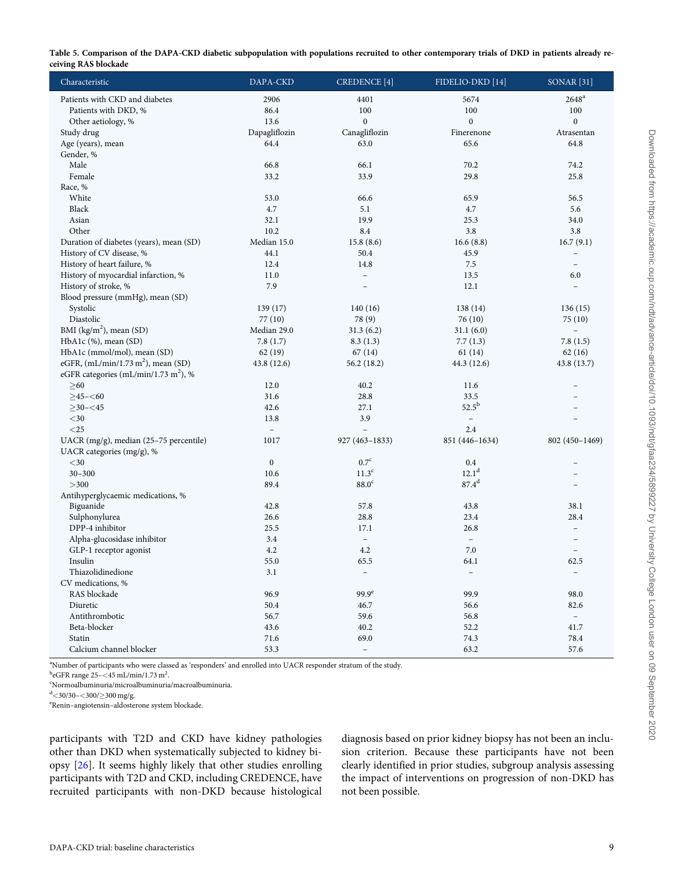<span id="page-8-0"></span>

|                      | Table 5. Comparison of the DAPA-CKD diabetic subpopulation with populations recruited to other contemporary trials of DKD in patients already re- |  |  |
|----------------------|---------------------------------------------------------------------------------------------------------------------------------------------------|--|--|
| ceiving RAS blockade |                                                                                                                                                   |  |  |

| Patients with CKD and diabetes<br>2906<br>4401<br>5674<br>2648 <sup>a</sup><br>Patients with DKD, %<br>86.4<br>100<br>100<br>100<br>$\boldsymbol{0}$<br>$\boldsymbol{0}$<br>$\boldsymbol{0}$<br>13.6<br>Other aetiology, %<br>Dapagliflozin<br>Canagliflozin<br>Finerenone<br>Study drug<br>Atrasentan<br>63.0<br>65.6<br>Age (years), mean<br>64.4<br>64.8<br>Gender, %<br>Male<br>66.8<br>66.1<br>70.2<br>74.2<br>33.2<br>Female<br>33.9<br>29.8<br>25.8<br>Race, %<br>White<br>53.0<br>66.6<br>65.9<br>56.5<br>Black<br>4.7<br>5.1<br>4.7<br>5.6<br>Asian<br>32.1<br>19.9<br>25.3<br>34.0<br>8.4<br>3.8<br>Other<br>10.2<br>3.8<br>Duration of diabetes (years), mean (SD)<br>Median 15.0<br>15.8(8.6)<br>16.6(8.8)<br>16.7(9.1)<br>History of CV disease, %<br>44.1<br>50.4<br>45.9<br>$\qquad \qquad -$<br>History of heart failure, %<br>12.4<br>14.8<br>7.5<br>$\qquad \qquad -$<br>History of myocardial infarction, %<br>11.0<br>13.5<br>6.0<br>$\overline{\phantom{0}}$<br>History of stroke, %<br>7.9<br>12.1<br>$\overline{\phantom{a}}$<br>Blood pressure (mmHg), mean (SD)<br>Systolic<br>139 (17)<br>140(16)<br>138 (14)<br>136(15)<br>Diastolic<br>77(10)<br>78 (9)<br>76(10)<br>75 (10)<br>BMI ( $\text{kg/m}^2$ ), mean (SD)<br>Median 29.0<br>31.3 (6.2)<br>31.1(6.0)<br>$\overline{\phantom{0}}$<br>HbA1c (%), mean (SD)<br>7.8(1.7)<br>8.3(1.3)<br>7.7(1.3)<br>7.8(1.5)<br>HbA1c (mmol/mol), mean (SD)<br>62(19)<br>67(14)<br>61(14)<br>62(16)<br>eGFR, $(mL/min/1.73 m2)$ , mean (SD)<br>43.8 (12.6)<br>56.2 (18.2)<br>44.3 (12.6)<br>43.8 (13.7)<br>eGFR categories (mL/min/1.73 m <sup>2</sup> ), %<br>$\geq 60$<br>12.0<br>40.2<br>11.6<br>$>45 - 60$<br>31.6<br>28.8<br>33.5<br>$52.5^{b}$<br>42.6<br>27.1<br>$\geq$ 30– $<$ 45<br>$<$ 30<br>13.8<br>3.9<br>$\qquad \qquad -$<br>$\overline{a}$<br>$<$ 25<br>2.4<br>$\overline{\phantom{a}}$<br>$\overline{\phantom{0}}$<br>UACR (mg/g), median (25-75 percentile)<br>1017<br>927 (463-1833)<br>851 (446-1634)<br>802 (450-1469)<br>UACR categories (mg/g), %<br>0.7 <sup>c</sup><br>$\mathbf{0}$<br>$<$ 30<br>$0.4\,$<br>$12.1^d$<br>$30 - 300$<br>10.6<br>11.3 <sup>c</sup><br>$87.4^{\rm d}$<br>>300<br>89.4<br>88.0 <sup>c</sup><br>$\overline{\phantom{0}}$<br>Antihyperglycaemic medications, %<br>Biguanide<br>42.8<br>57.8<br>43.8<br>38.1<br>Sulphonylurea<br>26.6<br>28.8<br>23.4<br>28.4<br>DPP-4 inhibitor<br>25.5<br>17.1<br>26.8<br>$\overline{\phantom{0}}$<br>Alpha-glucosidase inhibitor<br>3.4<br>$\qquad \qquad -$<br>$\overline{\phantom{a}}$<br>GLP-1 receptor agonist<br>4.2<br>4.2<br>7.0<br>$\overline{\phantom{0}}$<br>55.0<br>65.5<br>64.1<br>62.5<br>Insulin<br>Thiazolidinedione<br>3.1<br>$\overline{\phantom{0}}$<br>CV medications, %<br>$99.9^e$<br>RAS blockade<br>96.9<br>99.9<br>98.0<br>Diuretic<br>50.4<br>46.7<br>82.6<br>56.6<br>Antithrombotic<br>56.7<br>59.6<br>56.8<br>$\overline{\phantom{a}}$ | Characteristic | DAPA-CKD | <b>CREDENCE</b> [4] | FIDELIO-DKD [14] | <b>SONAR</b> [31] |
|----------------------------------------------------------------------------------------------------------------------------------------------------------------------------------------------------------------------------------------------------------------------------------------------------------------------------------------------------------------------------------------------------------------------------------------------------------------------------------------------------------------------------------------------------------------------------------------------------------------------------------------------------------------------------------------------------------------------------------------------------------------------------------------------------------------------------------------------------------------------------------------------------------------------------------------------------------------------------------------------------------------------------------------------------------------------------------------------------------------------------------------------------------------------------------------------------------------------------------------------------------------------------------------------------------------------------------------------------------------------------------------------------------------------------------------------------------------------------------------------------------------------------------------------------------------------------------------------------------------------------------------------------------------------------------------------------------------------------------------------------------------------------------------------------------------------------------------------------------------------------------------------------------------------------------------------------------------------------------------------------------------------------------------------------------------------------------------------------------------------------------------------------------------------------------------------------------------------------------------------------------------------------------------------------------------------------------------------------------------------------------------------------------------------------------------------------------------------------------------------------------------------------------------------------------------------------------------------------------------------------------------------------------------------------------------------------------------------------------------------------------------------------------------------------------------------------------------------------------------------------------------------------------------------|----------------|----------|---------------------|------------------|-------------------|
|                                                                                                                                                                                                                                                                                                                                                                                                                                                                                                                                                                                                                                                                                                                                                                                                                                                                                                                                                                                                                                                                                                                                                                                                                                                                                                                                                                                                                                                                                                                                                                                                                                                                                                                                                                                                                                                                                                                                                                                                                                                                                                                                                                                                                                                                                                                                                                                                                                                                                                                                                                                                                                                                                                                                                                                                                                                                                                                      |                |          |                     |                  |                   |
|                                                                                                                                                                                                                                                                                                                                                                                                                                                                                                                                                                                                                                                                                                                                                                                                                                                                                                                                                                                                                                                                                                                                                                                                                                                                                                                                                                                                                                                                                                                                                                                                                                                                                                                                                                                                                                                                                                                                                                                                                                                                                                                                                                                                                                                                                                                                                                                                                                                                                                                                                                                                                                                                                                                                                                                                                                                                                                                      |                |          |                     |                  |                   |
|                                                                                                                                                                                                                                                                                                                                                                                                                                                                                                                                                                                                                                                                                                                                                                                                                                                                                                                                                                                                                                                                                                                                                                                                                                                                                                                                                                                                                                                                                                                                                                                                                                                                                                                                                                                                                                                                                                                                                                                                                                                                                                                                                                                                                                                                                                                                                                                                                                                                                                                                                                                                                                                                                                                                                                                                                                                                                                                      |                |          |                     |                  |                   |
|                                                                                                                                                                                                                                                                                                                                                                                                                                                                                                                                                                                                                                                                                                                                                                                                                                                                                                                                                                                                                                                                                                                                                                                                                                                                                                                                                                                                                                                                                                                                                                                                                                                                                                                                                                                                                                                                                                                                                                                                                                                                                                                                                                                                                                                                                                                                                                                                                                                                                                                                                                                                                                                                                                                                                                                                                                                                                                                      |                |          |                     |                  |                   |
|                                                                                                                                                                                                                                                                                                                                                                                                                                                                                                                                                                                                                                                                                                                                                                                                                                                                                                                                                                                                                                                                                                                                                                                                                                                                                                                                                                                                                                                                                                                                                                                                                                                                                                                                                                                                                                                                                                                                                                                                                                                                                                                                                                                                                                                                                                                                                                                                                                                                                                                                                                                                                                                                                                                                                                                                                                                                                                                      |                |          |                     |                  |                   |
|                                                                                                                                                                                                                                                                                                                                                                                                                                                                                                                                                                                                                                                                                                                                                                                                                                                                                                                                                                                                                                                                                                                                                                                                                                                                                                                                                                                                                                                                                                                                                                                                                                                                                                                                                                                                                                                                                                                                                                                                                                                                                                                                                                                                                                                                                                                                                                                                                                                                                                                                                                                                                                                                                                                                                                                                                                                                                                                      |                |          |                     |                  |                   |
|                                                                                                                                                                                                                                                                                                                                                                                                                                                                                                                                                                                                                                                                                                                                                                                                                                                                                                                                                                                                                                                                                                                                                                                                                                                                                                                                                                                                                                                                                                                                                                                                                                                                                                                                                                                                                                                                                                                                                                                                                                                                                                                                                                                                                                                                                                                                                                                                                                                                                                                                                                                                                                                                                                                                                                                                                                                                                                                      |                |          |                     |                  |                   |
|                                                                                                                                                                                                                                                                                                                                                                                                                                                                                                                                                                                                                                                                                                                                                                                                                                                                                                                                                                                                                                                                                                                                                                                                                                                                                                                                                                                                                                                                                                                                                                                                                                                                                                                                                                                                                                                                                                                                                                                                                                                                                                                                                                                                                                                                                                                                                                                                                                                                                                                                                                                                                                                                                                                                                                                                                                                                                                                      |                |          |                     |                  |                   |
|                                                                                                                                                                                                                                                                                                                                                                                                                                                                                                                                                                                                                                                                                                                                                                                                                                                                                                                                                                                                                                                                                                                                                                                                                                                                                                                                                                                                                                                                                                                                                                                                                                                                                                                                                                                                                                                                                                                                                                                                                                                                                                                                                                                                                                                                                                                                                                                                                                                                                                                                                                                                                                                                                                                                                                                                                                                                                                                      |                |          |                     |                  |                   |
|                                                                                                                                                                                                                                                                                                                                                                                                                                                                                                                                                                                                                                                                                                                                                                                                                                                                                                                                                                                                                                                                                                                                                                                                                                                                                                                                                                                                                                                                                                                                                                                                                                                                                                                                                                                                                                                                                                                                                                                                                                                                                                                                                                                                                                                                                                                                                                                                                                                                                                                                                                                                                                                                                                                                                                                                                                                                                                                      |                |          |                     |                  |                   |
|                                                                                                                                                                                                                                                                                                                                                                                                                                                                                                                                                                                                                                                                                                                                                                                                                                                                                                                                                                                                                                                                                                                                                                                                                                                                                                                                                                                                                                                                                                                                                                                                                                                                                                                                                                                                                                                                                                                                                                                                                                                                                                                                                                                                                                                                                                                                                                                                                                                                                                                                                                                                                                                                                                                                                                                                                                                                                                                      |                |          |                     |                  |                   |
|                                                                                                                                                                                                                                                                                                                                                                                                                                                                                                                                                                                                                                                                                                                                                                                                                                                                                                                                                                                                                                                                                                                                                                                                                                                                                                                                                                                                                                                                                                                                                                                                                                                                                                                                                                                                                                                                                                                                                                                                                                                                                                                                                                                                                                                                                                                                                                                                                                                                                                                                                                                                                                                                                                                                                                                                                                                                                                                      |                |          |                     |                  |                   |
|                                                                                                                                                                                                                                                                                                                                                                                                                                                                                                                                                                                                                                                                                                                                                                                                                                                                                                                                                                                                                                                                                                                                                                                                                                                                                                                                                                                                                                                                                                                                                                                                                                                                                                                                                                                                                                                                                                                                                                                                                                                                                                                                                                                                                                                                                                                                                                                                                                                                                                                                                                                                                                                                                                                                                                                                                                                                                                                      |                |          |                     |                  |                   |
|                                                                                                                                                                                                                                                                                                                                                                                                                                                                                                                                                                                                                                                                                                                                                                                                                                                                                                                                                                                                                                                                                                                                                                                                                                                                                                                                                                                                                                                                                                                                                                                                                                                                                                                                                                                                                                                                                                                                                                                                                                                                                                                                                                                                                                                                                                                                                                                                                                                                                                                                                                                                                                                                                                                                                                                                                                                                                                                      |                |          |                     |                  |                   |
|                                                                                                                                                                                                                                                                                                                                                                                                                                                                                                                                                                                                                                                                                                                                                                                                                                                                                                                                                                                                                                                                                                                                                                                                                                                                                                                                                                                                                                                                                                                                                                                                                                                                                                                                                                                                                                                                                                                                                                                                                                                                                                                                                                                                                                                                                                                                                                                                                                                                                                                                                                                                                                                                                                                                                                                                                                                                                                                      |                |          |                     |                  |                   |
|                                                                                                                                                                                                                                                                                                                                                                                                                                                                                                                                                                                                                                                                                                                                                                                                                                                                                                                                                                                                                                                                                                                                                                                                                                                                                                                                                                                                                                                                                                                                                                                                                                                                                                                                                                                                                                                                                                                                                                                                                                                                                                                                                                                                                                                                                                                                                                                                                                                                                                                                                                                                                                                                                                                                                                                                                                                                                                                      |                |          |                     |                  |                   |
|                                                                                                                                                                                                                                                                                                                                                                                                                                                                                                                                                                                                                                                                                                                                                                                                                                                                                                                                                                                                                                                                                                                                                                                                                                                                                                                                                                                                                                                                                                                                                                                                                                                                                                                                                                                                                                                                                                                                                                                                                                                                                                                                                                                                                                                                                                                                                                                                                                                                                                                                                                                                                                                                                                                                                                                                                                                                                                                      |                |          |                     |                  |                   |
|                                                                                                                                                                                                                                                                                                                                                                                                                                                                                                                                                                                                                                                                                                                                                                                                                                                                                                                                                                                                                                                                                                                                                                                                                                                                                                                                                                                                                                                                                                                                                                                                                                                                                                                                                                                                                                                                                                                                                                                                                                                                                                                                                                                                                                                                                                                                                                                                                                                                                                                                                                                                                                                                                                                                                                                                                                                                                                                      |                |          |                     |                  |                   |
|                                                                                                                                                                                                                                                                                                                                                                                                                                                                                                                                                                                                                                                                                                                                                                                                                                                                                                                                                                                                                                                                                                                                                                                                                                                                                                                                                                                                                                                                                                                                                                                                                                                                                                                                                                                                                                                                                                                                                                                                                                                                                                                                                                                                                                                                                                                                                                                                                                                                                                                                                                                                                                                                                                                                                                                                                                                                                                                      |                |          |                     |                  |                   |
|                                                                                                                                                                                                                                                                                                                                                                                                                                                                                                                                                                                                                                                                                                                                                                                                                                                                                                                                                                                                                                                                                                                                                                                                                                                                                                                                                                                                                                                                                                                                                                                                                                                                                                                                                                                                                                                                                                                                                                                                                                                                                                                                                                                                                                                                                                                                                                                                                                                                                                                                                                                                                                                                                                                                                                                                                                                                                                                      |                |          |                     |                  |                   |
|                                                                                                                                                                                                                                                                                                                                                                                                                                                                                                                                                                                                                                                                                                                                                                                                                                                                                                                                                                                                                                                                                                                                                                                                                                                                                                                                                                                                                                                                                                                                                                                                                                                                                                                                                                                                                                                                                                                                                                                                                                                                                                                                                                                                                                                                                                                                                                                                                                                                                                                                                                                                                                                                                                                                                                                                                                                                                                                      |                |          |                     |                  |                   |
|                                                                                                                                                                                                                                                                                                                                                                                                                                                                                                                                                                                                                                                                                                                                                                                                                                                                                                                                                                                                                                                                                                                                                                                                                                                                                                                                                                                                                                                                                                                                                                                                                                                                                                                                                                                                                                                                                                                                                                                                                                                                                                                                                                                                                                                                                                                                                                                                                                                                                                                                                                                                                                                                                                                                                                                                                                                                                                                      |                |          |                     |                  |                   |
|                                                                                                                                                                                                                                                                                                                                                                                                                                                                                                                                                                                                                                                                                                                                                                                                                                                                                                                                                                                                                                                                                                                                                                                                                                                                                                                                                                                                                                                                                                                                                                                                                                                                                                                                                                                                                                                                                                                                                                                                                                                                                                                                                                                                                                                                                                                                                                                                                                                                                                                                                                                                                                                                                                                                                                                                                                                                                                                      |                |          |                     |                  |                   |
|                                                                                                                                                                                                                                                                                                                                                                                                                                                                                                                                                                                                                                                                                                                                                                                                                                                                                                                                                                                                                                                                                                                                                                                                                                                                                                                                                                                                                                                                                                                                                                                                                                                                                                                                                                                                                                                                                                                                                                                                                                                                                                                                                                                                                                                                                                                                                                                                                                                                                                                                                                                                                                                                                                                                                                                                                                                                                                                      |                |          |                     |                  |                   |
|                                                                                                                                                                                                                                                                                                                                                                                                                                                                                                                                                                                                                                                                                                                                                                                                                                                                                                                                                                                                                                                                                                                                                                                                                                                                                                                                                                                                                                                                                                                                                                                                                                                                                                                                                                                                                                                                                                                                                                                                                                                                                                                                                                                                                                                                                                                                                                                                                                                                                                                                                                                                                                                                                                                                                                                                                                                                                                                      |                |          |                     |                  |                   |
|                                                                                                                                                                                                                                                                                                                                                                                                                                                                                                                                                                                                                                                                                                                                                                                                                                                                                                                                                                                                                                                                                                                                                                                                                                                                                                                                                                                                                                                                                                                                                                                                                                                                                                                                                                                                                                                                                                                                                                                                                                                                                                                                                                                                                                                                                                                                                                                                                                                                                                                                                                                                                                                                                                                                                                                                                                                                                                                      |                |          |                     |                  |                   |
|                                                                                                                                                                                                                                                                                                                                                                                                                                                                                                                                                                                                                                                                                                                                                                                                                                                                                                                                                                                                                                                                                                                                                                                                                                                                                                                                                                                                                                                                                                                                                                                                                                                                                                                                                                                                                                                                                                                                                                                                                                                                                                                                                                                                                                                                                                                                                                                                                                                                                                                                                                                                                                                                                                                                                                                                                                                                                                                      |                |          |                     |                  |                   |
|                                                                                                                                                                                                                                                                                                                                                                                                                                                                                                                                                                                                                                                                                                                                                                                                                                                                                                                                                                                                                                                                                                                                                                                                                                                                                                                                                                                                                                                                                                                                                                                                                                                                                                                                                                                                                                                                                                                                                                                                                                                                                                                                                                                                                                                                                                                                                                                                                                                                                                                                                                                                                                                                                                                                                                                                                                                                                                                      |                |          |                     |                  |                   |
|                                                                                                                                                                                                                                                                                                                                                                                                                                                                                                                                                                                                                                                                                                                                                                                                                                                                                                                                                                                                                                                                                                                                                                                                                                                                                                                                                                                                                                                                                                                                                                                                                                                                                                                                                                                                                                                                                                                                                                                                                                                                                                                                                                                                                                                                                                                                                                                                                                                                                                                                                                                                                                                                                                                                                                                                                                                                                                                      |                |          |                     |                  |                   |
|                                                                                                                                                                                                                                                                                                                                                                                                                                                                                                                                                                                                                                                                                                                                                                                                                                                                                                                                                                                                                                                                                                                                                                                                                                                                                                                                                                                                                                                                                                                                                                                                                                                                                                                                                                                                                                                                                                                                                                                                                                                                                                                                                                                                                                                                                                                                                                                                                                                                                                                                                                                                                                                                                                                                                                                                                                                                                                                      |                |          |                     |                  |                   |
|                                                                                                                                                                                                                                                                                                                                                                                                                                                                                                                                                                                                                                                                                                                                                                                                                                                                                                                                                                                                                                                                                                                                                                                                                                                                                                                                                                                                                                                                                                                                                                                                                                                                                                                                                                                                                                                                                                                                                                                                                                                                                                                                                                                                                                                                                                                                                                                                                                                                                                                                                                                                                                                                                                                                                                                                                                                                                                                      |                |          |                     |                  |                   |
|                                                                                                                                                                                                                                                                                                                                                                                                                                                                                                                                                                                                                                                                                                                                                                                                                                                                                                                                                                                                                                                                                                                                                                                                                                                                                                                                                                                                                                                                                                                                                                                                                                                                                                                                                                                                                                                                                                                                                                                                                                                                                                                                                                                                                                                                                                                                                                                                                                                                                                                                                                                                                                                                                                                                                                                                                                                                                                                      |                |          |                     |                  |                   |
|                                                                                                                                                                                                                                                                                                                                                                                                                                                                                                                                                                                                                                                                                                                                                                                                                                                                                                                                                                                                                                                                                                                                                                                                                                                                                                                                                                                                                                                                                                                                                                                                                                                                                                                                                                                                                                                                                                                                                                                                                                                                                                                                                                                                                                                                                                                                                                                                                                                                                                                                                                                                                                                                                                                                                                                                                                                                                                                      |                |          |                     |                  |                   |
|                                                                                                                                                                                                                                                                                                                                                                                                                                                                                                                                                                                                                                                                                                                                                                                                                                                                                                                                                                                                                                                                                                                                                                                                                                                                                                                                                                                                                                                                                                                                                                                                                                                                                                                                                                                                                                                                                                                                                                                                                                                                                                                                                                                                                                                                                                                                                                                                                                                                                                                                                                                                                                                                                                                                                                                                                                                                                                                      |                |          |                     |                  |                   |
|                                                                                                                                                                                                                                                                                                                                                                                                                                                                                                                                                                                                                                                                                                                                                                                                                                                                                                                                                                                                                                                                                                                                                                                                                                                                                                                                                                                                                                                                                                                                                                                                                                                                                                                                                                                                                                                                                                                                                                                                                                                                                                                                                                                                                                                                                                                                                                                                                                                                                                                                                                                                                                                                                                                                                                                                                                                                                                                      |                |          |                     |                  |                   |
|                                                                                                                                                                                                                                                                                                                                                                                                                                                                                                                                                                                                                                                                                                                                                                                                                                                                                                                                                                                                                                                                                                                                                                                                                                                                                                                                                                                                                                                                                                                                                                                                                                                                                                                                                                                                                                                                                                                                                                                                                                                                                                                                                                                                                                                                                                                                                                                                                                                                                                                                                                                                                                                                                                                                                                                                                                                                                                                      |                |          |                     |                  |                   |
|                                                                                                                                                                                                                                                                                                                                                                                                                                                                                                                                                                                                                                                                                                                                                                                                                                                                                                                                                                                                                                                                                                                                                                                                                                                                                                                                                                                                                                                                                                                                                                                                                                                                                                                                                                                                                                                                                                                                                                                                                                                                                                                                                                                                                                                                                                                                                                                                                                                                                                                                                                                                                                                                                                                                                                                                                                                                                                                      |                |          |                     |                  |                   |
|                                                                                                                                                                                                                                                                                                                                                                                                                                                                                                                                                                                                                                                                                                                                                                                                                                                                                                                                                                                                                                                                                                                                                                                                                                                                                                                                                                                                                                                                                                                                                                                                                                                                                                                                                                                                                                                                                                                                                                                                                                                                                                                                                                                                                                                                                                                                                                                                                                                                                                                                                                                                                                                                                                                                                                                                                                                                                                                      |                |          |                     |                  |                   |
|                                                                                                                                                                                                                                                                                                                                                                                                                                                                                                                                                                                                                                                                                                                                                                                                                                                                                                                                                                                                                                                                                                                                                                                                                                                                                                                                                                                                                                                                                                                                                                                                                                                                                                                                                                                                                                                                                                                                                                                                                                                                                                                                                                                                                                                                                                                                                                                                                                                                                                                                                                                                                                                                                                                                                                                                                                                                                                                      |                |          |                     |                  |                   |
|                                                                                                                                                                                                                                                                                                                                                                                                                                                                                                                                                                                                                                                                                                                                                                                                                                                                                                                                                                                                                                                                                                                                                                                                                                                                                                                                                                                                                                                                                                                                                                                                                                                                                                                                                                                                                                                                                                                                                                                                                                                                                                                                                                                                                                                                                                                                                                                                                                                                                                                                                                                                                                                                                                                                                                                                                                                                                                                      |                |          |                     |                  |                   |
|                                                                                                                                                                                                                                                                                                                                                                                                                                                                                                                                                                                                                                                                                                                                                                                                                                                                                                                                                                                                                                                                                                                                                                                                                                                                                                                                                                                                                                                                                                                                                                                                                                                                                                                                                                                                                                                                                                                                                                                                                                                                                                                                                                                                                                                                                                                                                                                                                                                                                                                                                                                                                                                                                                                                                                                                                                                                                                                      |                |          |                     |                  |                   |
|                                                                                                                                                                                                                                                                                                                                                                                                                                                                                                                                                                                                                                                                                                                                                                                                                                                                                                                                                                                                                                                                                                                                                                                                                                                                                                                                                                                                                                                                                                                                                                                                                                                                                                                                                                                                                                                                                                                                                                                                                                                                                                                                                                                                                                                                                                                                                                                                                                                                                                                                                                                                                                                                                                                                                                                                                                                                                                                      |                |          |                     |                  |                   |
|                                                                                                                                                                                                                                                                                                                                                                                                                                                                                                                                                                                                                                                                                                                                                                                                                                                                                                                                                                                                                                                                                                                                                                                                                                                                                                                                                                                                                                                                                                                                                                                                                                                                                                                                                                                                                                                                                                                                                                                                                                                                                                                                                                                                                                                                                                                                                                                                                                                                                                                                                                                                                                                                                                                                                                                                                                                                                                                      |                |          |                     |                  |                   |
|                                                                                                                                                                                                                                                                                                                                                                                                                                                                                                                                                                                                                                                                                                                                                                                                                                                                                                                                                                                                                                                                                                                                                                                                                                                                                                                                                                                                                                                                                                                                                                                                                                                                                                                                                                                                                                                                                                                                                                                                                                                                                                                                                                                                                                                                                                                                                                                                                                                                                                                                                                                                                                                                                                                                                                                                                                                                                                                      |                |          |                     |                  |                   |
|                                                                                                                                                                                                                                                                                                                                                                                                                                                                                                                                                                                                                                                                                                                                                                                                                                                                                                                                                                                                                                                                                                                                                                                                                                                                                                                                                                                                                                                                                                                                                                                                                                                                                                                                                                                                                                                                                                                                                                                                                                                                                                                                                                                                                                                                                                                                                                                                                                                                                                                                                                                                                                                                                                                                                                                                                                                                                                                      |                |          |                     |                  |                   |
|                                                                                                                                                                                                                                                                                                                                                                                                                                                                                                                                                                                                                                                                                                                                                                                                                                                                                                                                                                                                                                                                                                                                                                                                                                                                                                                                                                                                                                                                                                                                                                                                                                                                                                                                                                                                                                                                                                                                                                                                                                                                                                                                                                                                                                                                                                                                                                                                                                                                                                                                                                                                                                                                                                                                                                                                                                                                                                                      |                |          |                     |                  |                   |
|                                                                                                                                                                                                                                                                                                                                                                                                                                                                                                                                                                                                                                                                                                                                                                                                                                                                                                                                                                                                                                                                                                                                                                                                                                                                                                                                                                                                                                                                                                                                                                                                                                                                                                                                                                                                                                                                                                                                                                                                                                                                                                                                                                                                                                                                                                                                                                                                                                                                                                                                                                                                                                                                                                                                                                                                                                                                                                                      |                |          |                     |                  |                   |
|                                                                                                                                                                                                                                                                                                                                                                                                                                                                                                                                                                                                                                                                                                                                                                                                                                                                                                                                                                                                                                                                                                                                                                                                                                                                                                                                                                                                                                                                                                                                                                                                                                                                                                                                                                                                                                                                                                                                                                                                                                                                                                                                                                                                                                                                                                                                                                                                                                                                                                                                                                                                                                                                                                                                                                                                                                                                                                                      |                |          |                     |                  |                   |
|                                                                                                                                                                                                                                                                                                                                                                                                                                                                                                                                                                                                                                                                                                                                                                                                                                                                                                                                                                                                                                                                                                                                                                                                                                                                                                                                                                                                                                                                                                                                                                                                                                                                                                                                                                                                                                                                                                                                                                                                                                                                                                                                                                                                                                                                                                                                                                                                                                                                                                                                                                                                                                                                                                                                                                                                                                                                                                                      | Beta-blocker   | 43.6     | 40.2                | 52.2             | 41.7              |
| Statin<br>71.6<br>69.0<br>78.4<br>74.3                                                                                                                                                                                                                                                                                                                                                                                                                                                                                                                                                                                                                                                                                                                                                                                                                                                                                                                                                                                                                                                                                                                                                                                                                                                                                                                                                                                                                                                                                                                                                                                                                                                                                                                                                                                                                                                                                                                                                                                                                                                                                                                                                                                                                                                                                                                                                                                                                                                                                                                                                                                                                                                                                                                                                                                                                                                                               |                |          |                     |                  |                   |
| Calcium channel blocker<br>53.3<br>63.2<br>$\overline{\phantom{0}}$<br>57.6                                                                                                                                                                                                                                                                                                                                                                                                                                                                                                                                                                                                                                                                                                                                                                                                                                                                                                                                                                                                                                                                                                                                                                                                                                                                                                                                                                                                                                                                                                                                                                                                                                                                                                                                                                                                                                                                                                                                                                                                                                                                                                                                                                                                                                                                                                                                                                                                                                                                                                                                                                                                                                                                                                                                                                                                                                          |                |          |                     |                  |                   |

<sup>a</sup>Number of participants who were classed as 'responders' and enrolled into UACR responder stratum of the study.

 $^{\rm b}$ eGFR range 25– $<$ 45 mL/min/1.73 m<sup>2</sup>.

 $\rm{^{d}}$ <30/30-<300/ $\geq$ 300 mg/g.

e Renin–angiotensin–aldosterone system blockade.

participants with T2D and CKD have kidney pathologies other than DKD when systematically subjected to kidney biopsy [[26](#page-11-0)]. It seems highly likely that other studies enrolling participants with T2D and CKD, including CREDENCE, have recruited participants with non-DKD because histological diagnosis based on prior kidney biopsy has not been an inclusion criterion. Because these participants have not been clearly identified in prior studies, subgroup analysis assessing the impact of interventions on progression of non-DKD has not been possible.

c Normoalbuminuria/microalbuminuria/macroalbuminuria.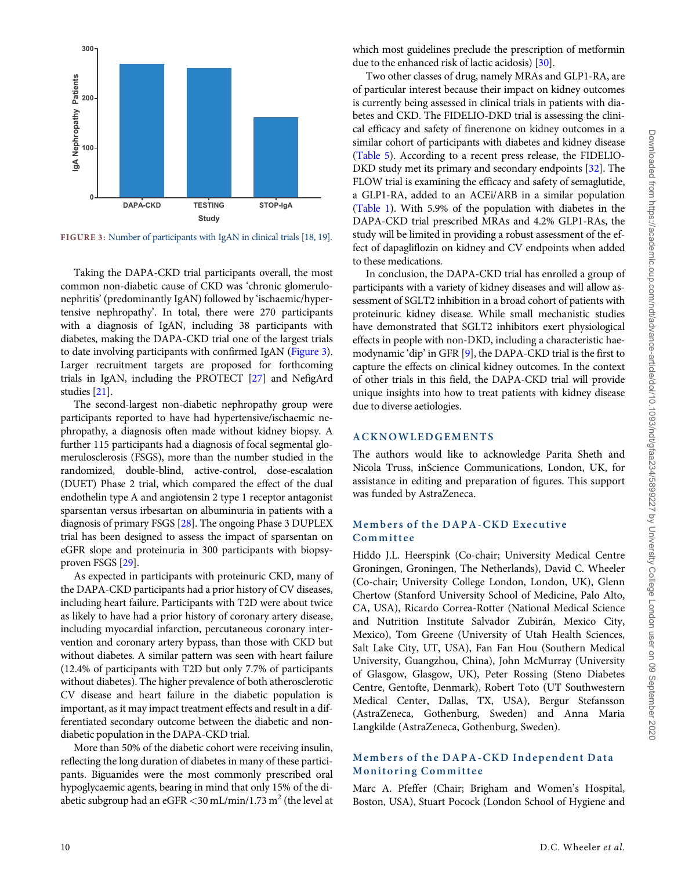<span id="page-9-0"></span>

FIGURE 3: Number of participants with IgAN in clinical trials [[18, 19](#page-11-0)].

Taking the DAPA-CKD trial participants overall, the most common non-diabetic cause of CKD was 'chronic glomerulonephritis' (predominantly IgAN) followed by 'ischaemic/hypertensive nephropathy'. In total, there were 270 participants with a diagnosis of IgAN, including 38 participants with diabetes, making the DAPA-CKD trial one of the largest trials to date involving participants with confirmed IgAN (Figure 3). Larger recruitment targets are proposed for forthcoming trials in IgAN, including the PROTECT [\[27\]](#page-11-0) and NefigArd studies [\[21\]](#page-11-0).

The second-largest non-diabetic nephropathy group were participants reported to have had hypertensive/ischaemic nephropathy, a diagnosis often made without kidney biopsy. A further 115 participants had a diagnosis of focal segmental glomerulosclerosis (FSGS), more than the number studied in the randomized, double-blind, active-control, dose-escalation (DUET) Phase 2 trial, which compared the effect of the dual endothelin type A and angiotensin 2 type 1 receptor antagonist sparsentan versus irbesartan on albuminuria in patients with a diagnosis of primary FSGS [\[28\]](#page-11-0). The ongoing Phase 3 DUPLEX trial has been designed to assess the impact of sparsentan on eGFR slope and proteinuria in 300 participants with biopsyproven FSGS [[29\]](#page-11-0).

As expected in participants with proteinuric CKD, many of the DAPA-CKD participants had a prior history of CV diseases, including heart failure. Participants with T2D were about twice as likely to have had a prior history of coronary artery disease, including myocardial infarction, percutaneous coronary intervention and coronary artery bypass, than those with CKD but without diabetes. A similar pattern was seen with heart failure (12.4% of participants with T2D but only 7.7% of participants without diabetes). The higher prevalence of both atherosclerotic CV disease and heart failure in the diabetic population is important, as it may impact treatment effects and result in a differentiated secondary outcome between the diabetic and nondiabetic population in the DAPA-CKD trial.

More than 50% of the diabetic cohort were receiving insulin, reflecting the long duration of diabetes in many of these participants. Biguanides were the most commonly prescribed oral hypoglycaemic agents, bearing in mind that only 15% of the diabetic subgroup had an eGFR  $\lt$  30 mL/min/1.73 m<sup>2</sup> (the level at which most guidelines preclude the prescription of metformin due to the enhanced risk of lactic acidosis) [\[30\]](#page-11-0).

Two other classes of drug, namely MRAs and GLP1-RA, are of particular interest because their impact on kidney outcomes is currently being assessed in clinical trials in patients with diabetes and CKD. The FIDELIO-DKD trial is assessing the clinical efficacy and safety of finerenone on kidney outcomes in a similar cohort of participants with diabetes and kidney disease ([Table 5](#page-8-0)). According to a recent press release, the FIDELIO-DKD study met its primary and secondary endpoints [\[32\]](#page-11-0). The FLOW trial is examining the efficacy and safety of semaglutide, a GLP1-RA, added to an ACEi/ARB in a similar population ([Table 1](#page-3-0)). With 5.9% of the population with diabetes in the DAPA-CKD trial prescribed MRAs and 4.2% GLP1-RAs, the study will be limited in providing a robust assessment of the effect of dapagliflozin on kidney and CV endpoints when added to these medications.

In conclusion, the DAPA-CKD trial has enrolled a group of participants with a variety of kidney diseases and will allow assessment of SGLT2 inhibition in a broad cohort of patients with proteinuric kidney disease. While small mechanistic studies have demonstrated that SGLT2 inhibitors exert physiological effects in people with non-DKD, including a characteristic haemodynamic 'dip' in GFR [[9](#page-11-0)], the DAPA-CKD trial is the first to capture the effects on clinical kidney outcomes. In the context of other trials in this field, the DAPA-CKD trial will provide unique insights into how to treat patients with kidney disease due to diverse aetiologies.

# ACKNOWLEDGEMENTS

The authors would like to acknowledge Parita Sheth and Nicola Truss, inScience Communications, London, UK, for assistance in editing and preparation of figures. This support was funded by AstraZeneca.

# Members of the DAPA-CKD Executive Committee

Hiddo J.L. Heerspink (Co-chair; University Medical Centre Groningen, Groningen, The Netherlands), David C. Wheeler (Co-chair; University College London, London, UK), Glenn Chertow (Stanford University School of Medicine, Palo Alto, CA, USA), Ricardo Correa-Rotter (National Medical Science and Nutrition Institute Salvador Zubirán, Mexico City, Mexico), Tom Greene (University of Utah Health Sciences, Salt Lake City, UT, USA), Fan Fan Hou (Southern Medical University, Guangzhou, China), John McMurray (University of Glasgow, Glasgow, UK), Peter Rossing (Steno Diabetes Centre, Gentofte, Denmark), Robert Toto (UT Southwestern Medical Center, Dallas, TX, USA), Bergur Stefansson (AstraZeneca, Gothenburg, Sweden) and Anna Maria Langkilde (AstraZeneca, Gothenburg, Sweden).

# Members of the DAPA-CKD Independent Data Monitoring Committee

Marc A. Pfeffer (Chair; Brigham and Women's Hospital, Boston, USA), Stuart Pocock (London School of Hygiene and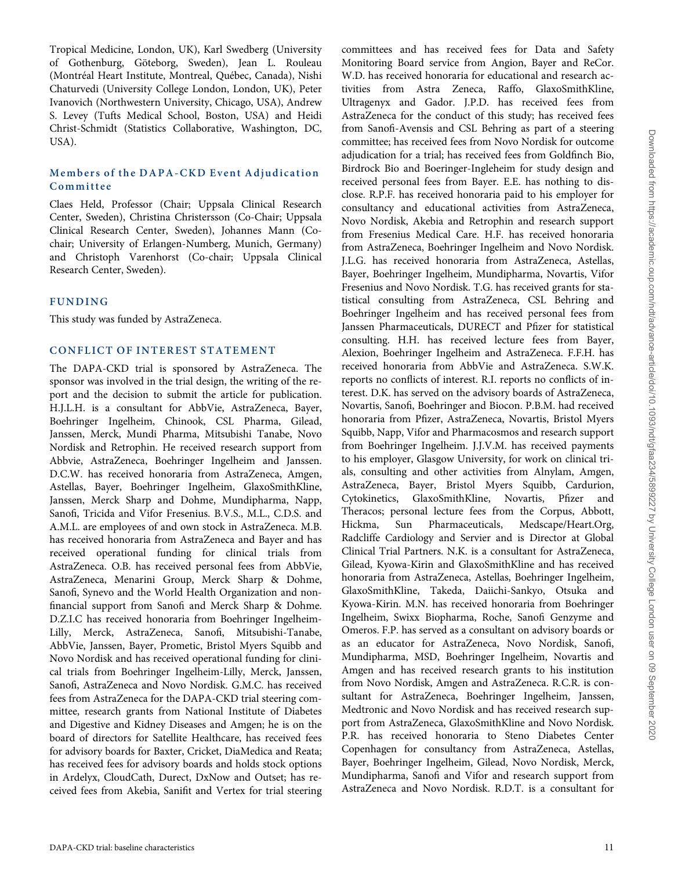Tropical Medicine, London, UK), Karl Swedberg (University of Gothenburg, Göteborg, Sweden), Jean L. Rouleau (Montréal Heart Institute, Montreal, Ouébec, Canada), Nishi Chaturvedi (University College London, London, UK), Peter Ivanovich (Northwestern University, Chicago, USA), Andrew S. Levey (Tufts Medical School, Boston, USA) and Heidi Christ-Schmidt (Statistics Collaborative, Washington, DC, USA).

# Members of the DAPA-CKD Event Adjudication Committee

Claes Held, Professor (Chair; Uppsala Clinical Research Center, Sweden), Christina Christersson (Co-Chair; Uppsala Clinical Research Center, Sweden), Johannes Mann (Cochair; University of Erlangen-Numberg, Munich, Germany) and Christoph Varenhorst (Co-chair; Uppsala Clinical Research Center, Sweden).

#### FUNDING

This study was funded by AstraZeneca.

## CONFLICT OF INTEREST STATEMENT

The DAPA-CKD trial is sponsored by AstraZeneca. The sponsor was involved in the trial design, the writing of the report and the decision to submit the article for publication. H.J.L.H. is a consultant for AbbVie, AstraZeneca, Bayer, Boehringer Ingelheim, Chinook, CSL Pharma, Gilead, Janssen, Merck, Mundi Pharma, Mitsubishi Tanabe, Novo Nordisk and Retrophin. He received research support from Abbvie, AstraZeneca, Boehringer Ingelheim and Janssen. D.C.W. has received honoraria from AstraZeneca, Amgen, Astellas, Bayer, Boehringer Ingelheim, GlaxoSmithKline, Janssen, Merck Sharp and Dohme, Mundipharma, Napp, Sanofi, Tricida and Vifor Fresenius. B.V.S., M.L., C.D.S. and A.M.L. are employees of and own stock in AstraZeneca. M.B. has received honoraria from AstraZeneca and Bayer and has received operational funding for clinical trials from AstraZeneca. O.B. has received personal fees from AbbVie, AstraZeneca, Menarini Group, Merck Sharp & Dohme, Sanofi, Synevo and the World Health Organization and nonfinancial support from Sanofi and Merck Sharp & Dohme. D.Z.I.C has received honoraria from Boehringer Ingelheim-Lilly, Merck, AstraZeneca, Sanofi, Mitsubishi-Tanabe, AbbVie, Janssen, Bayer, Prometic, Bristol Myers Squibb and Novo Nordisk and has received operational funding for clinical trials from Boehringer Ingelheim-Lilly, Merck, Janssen, Sanofi, AstraZeneca and Novo Nordisk. G.M.C. has received fees from AstraZeneca for the DAPA-CKD trial steering committee, research grants from National Institute of Diabetes and Digestive and Kidney Diseases and Amgen; he is on the board of directors for Satellite Healthcare, has received fees for advisory boards for Baxter, Cricket, DiaMedica and Reata; has received fees for advisory boards and holds stock options in Ardelyx, CloudCath, Durect, DxNow and Outset; has received fees from Akebia, Sanifit and Vertex for trial steering committees and has received fees for Data and Safety Monitoring Board service from Angion, Bayer and ReCor. W.D. has received honoraria for educational and research activities from Astra Zeneca, Raffo, GlaxoSmithKline, Ultragenyx and Gador. J.P.D. has received fees from AstraZeneca for the conduct of this study; has received fees from Sanofi-Avensis and CSL Behring as part of a steering committee; has received fees from Novo Nordisk for outcome adjudication for a trial; has received fees from Goldfinch Bio, Birdrock Bio and Boeringer-Ingleheim for study design and received personal fees from Bayer. E.E. has nothing to disclose. R.P.F. has received honoraria paid to his employer for consultancy and educational activities from AstraZeneca, Novo Nordisk, Akebia and Retrophin and research support from Fresenius Medical Care. H.F. has received honoraria from AstraZeneca, Boehringer Ingelheim and Novo Nordisk. J.L.G. has received honoraria from AstraZeneca, Astellas, Bayer, Boehringer Ingelheim, Mundipharma, Novartis, Vifor Fresenius and Novo Nordisk. T.G. has received grants for statistical consulting from AstraZeneca, CSL Behring and Boehringer Ingelheim and has received personal fees from Janssen Pharmaceuticals, DURECT and Pfizer for statistical consulting. H.H. has received lecture fees from Bayer, Alexion, Boehringer Ingelheim and AstraZeneca. F.F.H. has received honoraria from AbbVie and AstraZeneca. S.W.K. reports no conflicts of interest. R.I. reports no conflicts of interest. D.K. has served on the advisory boards of AstraZeneca, Novartis, Sanofi, Boehringer and Biocon. P.B.M. had received honoraria from Pfizer, AstraZeneca, Novartis, Bristol Myers Squibb, Napp, Vifor and Pharmacosmos and research support from Boehringer Ingelheim. J.J.V.M. has received payments to his employer, Glasgow University, for work on clinical trials, consulting and other activities from Alnylam, Amgen, AstraZeneca, Bayer, Bristol Myers Squibb, Cardurion, Cytokinetics, GlaxoSmithKline, Novartis, Pfizer and Theracos; personal lecture fees from the Corpus, Abbott, Hickma, Sun Pharmaceuticals, Medscape/Heart.Org, Radcliffe Cardiology and Servier and is Director at Global Clinical Trial Partners. N.K. is a consultant for AstraZeneca, Gilead, Kyowa-Kirin and GlaxoSmithKline and has received honoraria from AstraZeneca, Astellas, Boehringer Ingelheim, GlaxoSmithKline, Takeda, Daiichi-Sankyo, Otsuka and Kyowa-Kirin. M.N. has received honoraria from Boehringer Ingelheim, Swixx Biopharma, Roche, Sanofi Genzyme and Omeros. F.P. has served as a consultant on advisory boards or as an educator for AstraZeneca, Novo Nordisk, Sanofi, Mundipharma, MSD, Boehringer Ingelheim, Novartis and Amgen and has received research grants to his institution from Novo Nordisk, Amgen and AstraZeneca. R.C.R. is consultant for AstraZeneca, Boehringer Ingelheim, Janssen, Medtronic and Novo Nordisk and has received research support from AstraZeneca, GlaxoSmithKline and Novo Nordisk. P.R. has received honoraria to Steno Diabetes Center Copenhagen for consultancy from AstraZeneca, Astellas, Bayer, Boehringer Ingelheim, Gilead, Novo Nordisk, Merck, Mundipharma, Sanofi and Vifor and research support from AstraZeneca and Novo Nordisk. R.D.T. is a consultant for